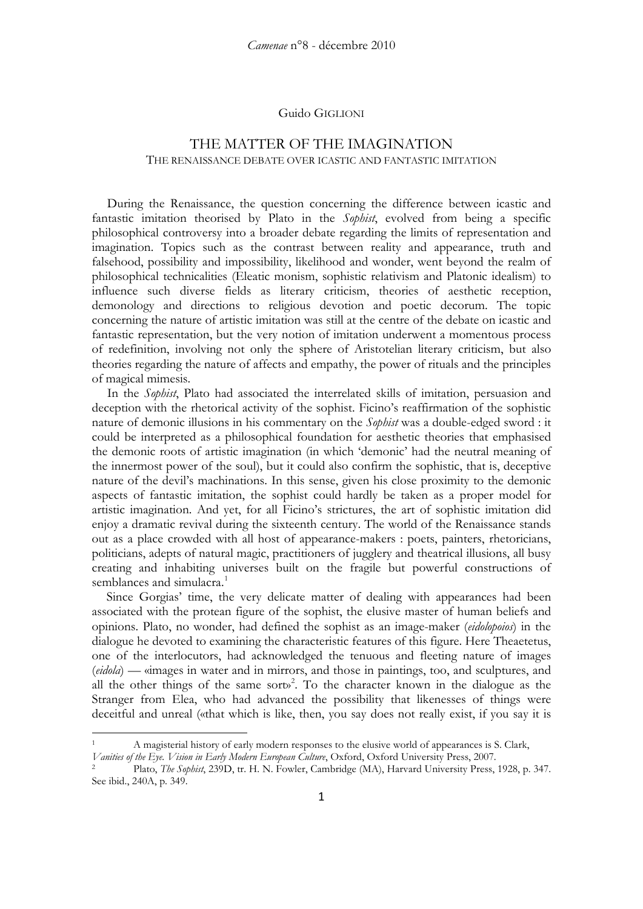#### Guido GIGLIONI

# THE MATTER OF THE IMAGINATION THE RENAISSANCE DEBATE OVER ICASTIC AND FANTASTIC IMITATION

During the Renaissance, the question concerning the difference between icastic and fantastic imitation theorised by Plato in the *Sophist*, evolved from being a specific philosophical controversy into a broader debate regarding the limits of representation and imagination. Topics such as the contrast between reality and appearance, truth and falsehood, possibility and impossibility, likelihood and wonder, went beyond the realm of philosophical technicalities (Eleatic monism, sophistic relativism and Platonic idealism) to influence such diverse fields as literary criticism, theories of aesthetic reception, demonology and directions to religious devotion and poetic decorum. The topic concerning the nature of artistic imitation was still at the centre of the debate on icastic and fantastic representation, but the very notion of imitation underwent a momentous process of redefinition, involving not only the sphere of Aristotelian literary criticism, but also theories regarding the nature of affects and empathy, the power of rituals and the principles of magical mimesis.

In the *Sophist*, Plato had associated the interrelated skills of imitation, persuasion and deception with the rhetorical activity of the sophist. Ficino's reaffirmation of the sophistic nature of demonic illusions in his commentary on the *Sophist* was a double-edged sword : it could be interpreted as a philosophical foundation for aesthetic theories that emphasised the demonic roots of artistic imagination (in which 'demonic' had the neutral meaning of the innermost power of the soul), but it could also confirm the sophistic, that is, deceptive nature of the devil's machinations. In this sense, given his close proximity to the demonic aspects of fantastic imitation, the sophist could hardly be taken as a proper model for artistic imagination. And yet, for all Ficino's strictures, the art of sophistic imitation did enjoy a dramatic revival during the sixteenth century. The world of the Renaissance stands out as a place crowded with all host of appearance-makers : poets, painters, rhetoricians, politicians, adepts of natural magic, practitioners of jugglery and theatrical illusions, all busy creating and inhabiting universes built on the fragile but powerful constructions of semblances and simulacra.<sup>[1](#page-0-0)</sup>

Since Gorgias' time, the very delicate matter of dealing with appearances had been associated with the protean figure of the sophist, the elusive master of human beliefs and opinions. Plato, no wonder, had defined the sophist as an image-maker (*eidolopoios*) in the dialogue he devoted to examining the characteristic features of this figure. Here Theaetetus, one of the interlocutors, had acknowledged the tenuous and fleeting nature of images (*eidola*) — «images in water and in mirrors, and those in paintings, too, and sculptures, and all the other things of the same sort  $x^2$  $x^2$ . To the character known in the dialogue as the Stranger from Elea, who had advanced the possibility that likenesses of things were deceitful and unreal («that which is like, then, you say does not really exist, if you say it is

<span id="page-0-0"></span><sup>1</sup> A magisterial history of early modern responses to the elusive world of appearances is S. Clark,

*Vanities of the Eye. Vision in Early Modern European Culture*, Oxford, Oxford University Press, 2007.<br><sup>2</sup> Plato, *The Sophist*, 239D, tr. H. N. Fowler, Cambridge (MA), Harvard University Press, 1928, p. 347.

<span id="page-0-1"></span>See ibid., 240A, p. 349.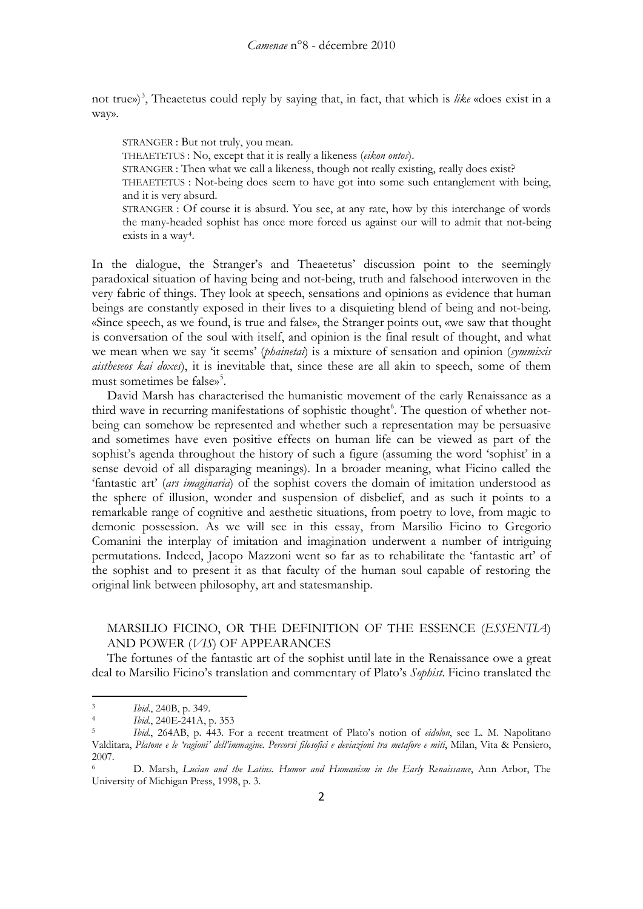not true»)<sup>[3](#page-1-0)</sup>, Theaetetus could reply by saying that, in fact, that which is like «does exist in a way».

STRANGER : But not truly, you mean.

THEAETETUS : No, except that it is really a likeness (*eikon ontos*).

STRANGER : Then what we call a likeness, though not really existing, really does exist?

THEAETETUS : Not-being does seem to have got into some such entanglement with being, and it is very absurd.

STRANGER : Of course it is absurd. You see, at any rate, how by this interchange of words the many-headed sophist has once more forced us against our will to admit that not-being exists in a way [4](#page-1-1) .

In the dialogue, the Stranger's and Theaetetus' discussion point to the seemingly paradoxical situation of having being and not-being, truth and falsehood interwoven in the very fabric of things. They look at speech, sensations and opinions as evidence that human beings are constantly exposed in their lives to a disquieting blend of being and not-being. «Since speech, as we found, is true and false», the Stranger points out, «we saw that thought is conversation of the soul with itself, and opinion is the final result of thought, and what we mean when we say 'it seems' (*phainetai*) is a mixture of sensation and opinion (*symmixis aistheseos kai doxes*), it is inevitable that, since these are all akin to speech, some of them must sometimes be false»<sup>[5](#page-1-2)</sup>.

David Marsh has characterised the humanistic movement of the early Renaissance as a third wave in recurring manifestations of sophistic thought<sup>[6](#page-1-3)</sup>. The question of whether notbeing can somehow be represented and whether such a representation may be persuasive and sometimes have even positive effects on human life can be viewed as part of the sophist's agenda throughout the history of such a figure (assuming the word 'sophist' in a sense devoid of all disparaging meanings). In a broader meaning, what Ficino called the 'fantastic art' (*ars imaginaria*) of the sophist covers the domain of imitation understood as the sphere of illusion, wonder and suspension of disbelief, and as such it points to a remarkable range of cognitive and aesthetic situations, from poetry to love, from magic to demonic possession. As we will see in this essay, from Marsilio Ficino to Gregorio Comanini the interplay of imitation and imagination underwent a number of intriguing permutations. Indeed, Jacopo Mazzoni went so far as to rehabilitate the 'fantastic art' of the sophist and to present it as that faculty of the human soul capable of restoring the original link between philosophy, art and statesmanship.

## MARSILIO FICINO, OR THE DEFINITION OF THE ESSENCE (*ESSENTIA*) AND POWER (*VIS*) OF APPEARANCES

The fortunes of the fantastic art of the sophist until late in the Renaissance owe a great deal to Marsilio Ficino's translation and commentary of Plato's *Sophist*. Ficino translated the

<span id="page-1-1"></span><span id="page-1-0"></span><sup>3</sup> *Ibid*., 240B, p. 349.

<sup>4</sup> *Ibid.*, 240E-241A, p. 353

<span id="page-1-2"></span><sup>5</sup> *Ibid.*, 264AB, p. 443. For a recent treatment of Plato's notion of *eidolon*, see L. M. Napolitano Valditara, *Platone e le 'ragioni' dell'immagine. Percorsi filosofici e deviazioni tra metafore e miti*, Milan, Vita & Pensiero, 2007.

<span id="page-1-3"></span><sup>6</sup> D. Marsh, *Lucian and the Latins. Humor and Humanism in the Early Renaissance*, Ann Arbor, The University of Michigan Press, 1998, p. 3.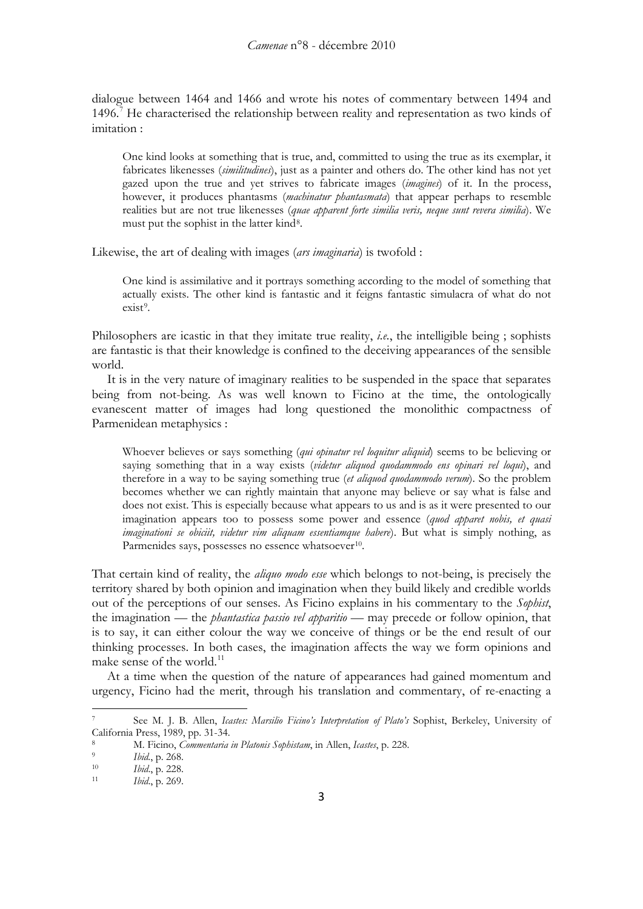dialogue between 1464 and 1466 and wrote his notes of commentary between 1494 and 1496.<sup>[7](#page-2-0)</sup> He characterised the relationship between reality and representation as two kinds of imitation :

One kind looks at something that is true, and, committed to using the true as its exemplar, it fabricates likenesses (*similitudines*), just as a painter and others do. The other kind has not yet gazed upon the true and yet strives to fabricate images (*imagines*) of it. In the process, however, it produces phantasms (*machinatur phantasmata*) that appear perhaps to resemble realities but are not true likenesses (*quae apparent forte similia veris, neque sunt revera similia*). We must put the sophist in the latter kind [8](#page-2-1) .

Likewise, the art of dealing with images (*ars imaginaria*) is twofold :

One kind is assimilative and it portrays something according to the model of something that actually exists. The other kind is fantastic and it feigns fantastic simulacra of what do not exist<sup>[9](#page-2-2)</sup>.

Philosophers are icastic in that they imitate true reality, *i.e.*, the intelligible being ; sophists are fantastic is that their knowledge is confined to the deceiving appearances of the sensible world.

It is in the very nature of imaginary realities to be suspended in the space that separates being from not-being. As was well known to Ficino at the time, the ontologically evanescent matter of images had long questioned the monolithic compactness of Parmenidean metaphysics :

Whoever believes or says something (*qui opinatur vel loquitur aliquid*) seems to be believing or saying something that in a way exists (*videtur aliquod quodammodo ens opinari vel loqui*), and therefore in a way to be saying something true (*et aliquod quodammodo verum*). So the problem becomes whether we can rightly maintain that anyone may believe or say what is false and does not exist. This is especially because what appears to us and is as it were presented to our imagination appears too to possess some power and essence (*quod apparet nobis, et quasi imaginationi se obiciit, videtur vim aliquam essentiamque habere*). But what is simply nothing, as Parmenides says, possesses no essence whatsoever<sup>[10](#page-2-3)</sup>.

That certain kind of reality, the *aliquo modo esse* which belongs to not-being, is precisely the territory shared by both opinion and imagination when they build likely and credible worlds out of the perceptions of our senses. As Ficino explains in his commentary to the *Sophist*, the imagination — the *phantastica passio vel apparitio* — may precede or follow opinion, that is to say, it can either colour the way we conceive of things or be the end result of our thinking processes. In both cases, the imagination affects the way we form opinions and make sense of the world.<sup>[11](#page-2-4)</sup>

At a time when the question of the nature of appearances had gained momentum and urgency, Ficino had the merit, through his translation and commentary, of re-enacting a

<span id="page-2-0"></span><sup>7</sup> See M. J. B. Allen, *Icastes: Marsilio Ficino's Interpretation of Plato's* Sophist, Berkeley, University of

<span id="page-2-1"></span>California Press, 1989, pp. 31-34. 8 M. Ficino, *Commentaria in Platonis Sophistam*, in Allen, *Icastes*, p. 228.

<span id="page-2-2"></span><sup>&</sup>lt;sup>9</sup> *Ibid.*, p. 268.<br><sup>10</sup> *Ibid.* p. 228

<span id="page-2-3"></span><sup>10</sup> *Ibid*., p. 228. 11 *Ibid*., p. 269.

<span id="page-2-4"></span>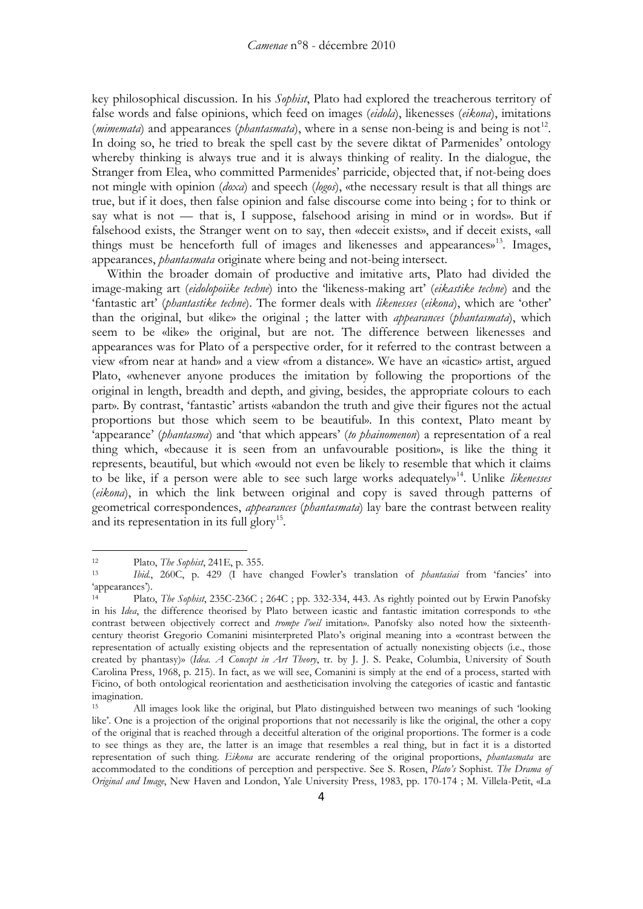key philosophical discussion. In his *Sophist*, Plato had explored the treacherous territory of false words and false opinions, which feed on images (*eidola*), likenesses (*eikona*), imitations  $(mimemat)$  and appearances (*phantasmata*), where in a sense non-being is and being is not<sup>[12](#page-3-0)</sup>. In doing so, he tried to break the spell cast by the severe diktat of Parmenides' ontology whereby thinking is always true and it is always thinking of reality. In the dialogue, the Stranger from Elea, who committed Parmenides' parricide, objected that, if not-being does not mingle with opinion (*doxa*) and speech (*logos*), «the necessary result is that all things are true, but if it does, then false opinion and false discourse come into being ; for to think or say what is not — that is, I suppose, falsehood arising in mind or in words». But if falsehood exists, the Stranger went on to say, then «deceit exists», and if deceit exists, «all things must be henceforth full of images and likenesses and appearances»<sup>[13](#page-3-1)</sup>. Images, appearances, *phantasmata* originate where being and not-being intersect.

Within the broader domain of productive and imitative arts, Plato had divided the image-making art (*eidolopoiike techne*) into the 'likeness-making art' (*eikastike techne*) and the 'fantastic art' (*phantastike techne*). The former deals with *likenesses* (*eikona*), which are 'other' than the original, but «like» the original ; the latter with *appearances* (*phantasmata*), which seem to be «like» the original, but are not. The difference between likenesses and appearances was for Plato of a perspective order, for it referred to the contrast between a view «from near at hand» and a view «from a distance». We have an «icastic» artist, argued Plato, «whenever anyone produces the imitation by following the proportions of the original in length, breadth and depth, and giving, besides, the appropriate colours to each part». By contrast, 'fantastic' artists «abandon the truth and give their figures not the actual proportions but those which seem to be beautiful». In this context, Plato meant by 'appearance' (*phantasma*) and 'that which appears' (*to phainomenon*) a representation of a real thing which, «because it is seen from an unfavourable position», is like the thing it represents, beautiful, but which «would not even be likely to resemble that which it claims to be like, if a person were able to see such large works adequately» [14](#page-3-2). Unlike *likenesses* (*eikona*), in which the link between original and copy is saved through patterns of geometrical correspondences, *appearances* (*phantasmata*) lay bare the contrast between reality and its representation in its full glory<sup>[15](#page-3-3)</sup>.

<span id="page-3-1"></span><span id="page-3-0"></span><sup>12</sup> Plato, *The Sophist*, 241E, p. 355.

<sup>13</sup> *Ibid.*, 260C, p. 429 (I have changed Fowler's translation of *phantasiai* from 'fancies' into 'appearances').<br><sup>14</sup> Plate

<span id="page-3-2"></span><sup>14</sup> Plato, *The Sophist*, 235C-236C ; 264C ; pp. 332-334, 443. As rightly pointed out by Erwin Panofsky in his *Idea*, the difference theorised by Plato between icastic and fantastic imitation corresponds to «the contrast between objectively correct and *trompe l'oeil* imitation». Panofsky also noted how the sixteenthcentury theorist Gregorio Comanini misinterpreted Plato's original meaning into a «contrast between the representation of actually existing objects and the representation of actually nonexisting objects (i.e., those created by phantasy)» (*Idea. A Concept in Art Theory*, tr. by J. J. S. Peake, Columbia, University of South Carolina Press, 1968, p. 215). In fact, as we will see, Comanini is simply at the end of a process, started with Ficino, of both ontological reorientation and aestheticisation involving the categories of icastic and fantastic imagination.

<span id="page-3-3"></span><sup>15</sup> All images look like the original, but Plato distinguished between two meanings of such 'looking like'. One is a projection of the original proportions that not necessarily is like the original, the other a copy of the original that is reached through a deceitful alteration of the original proportions. The former is a code to see things as they are, the latter is an image that resembles a real thing, but in fact it is a distorted representation of such thing. *Eikona* are accurate rendering of the original proportions, *phantasmata* are accommodated to the conditions of perception and perspective. See S. Rosen, *Plato's* Sophist*. The Drama of Original and Image*, New Haven and London, Yale University Press, 1983, pp. 170-174 ; M. Villela-Petit, «La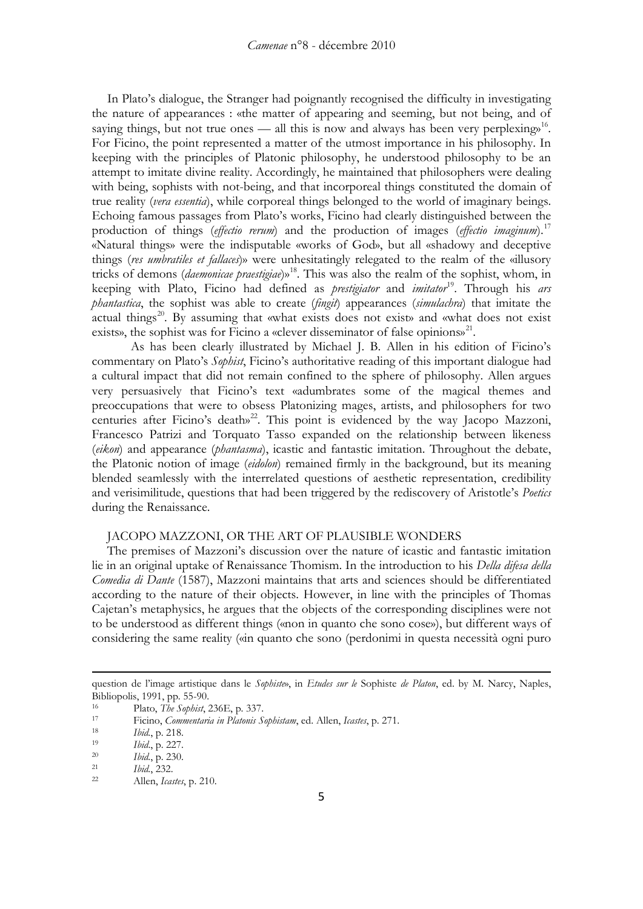In Plato's dialogue, the Stranger had poignantly recognised the difficulty in investigating the nature of appearances : «the matter of appearing and seeming, but not being, and of saying things, but not true ones — all this is now and always has been very perplexing.<sup>16</sup>. For Ficino, the point represented a matter of the utmost importance in his philosophy. In keeping with the principles of Platonic philosophy, he understood philosophy to be an attempt to imitate divine reality. Accordingly, he maintained that philosophers were dealing with being, sophists with not-being, and that incorporeal things constituted the domain of true reality (*vera essentia*), while corporeal things belonged to the world of imaginary beings. Echoing famous passages from Plato's works, Ficino had clearly distinguished between the production of things (*effectio rerum*) and the production of images (*effectio imaginum*).[17](#page-4-1) «Natural things» were the indisputable «works of God», but all «shadowy and deceptive things (*res umbratiles et fallaces*)» were unhesitatingly relegated to the realm of the «illusory tricks of demons (*daemonicae praestigiae*)[»18.](#page-4-2) This was also the realm of the sophist, whom, in keeping with Plato, Ficino had defined as *prestigiator* and *imitator*[19](#page-4-3). Through his *ars phantastica*, the sophist was able to create (*fingit*) appearances (*simulachra*) that imitate the actual things<sup>[20](#page-4-4)</sup>. By assuming that «what exists does not exist» and «what does not exist exists», the sophist was for Ficino a «clever disseminator of false opinions»<sup>[21](#page-4-5)</sup>.

As has been clearly illustrated by Michael J. B. Allen in his edition of Ficino's commentary on Plato's *Sophist*, Ficino's authoritative reading of this important dialogue had a cultural impact that did not remain confined to the sphere of philosophy. Allen argues very persuasively that Ficino's text «adumbrates some of the magical themes and preoccupations that were to obsess Platonizing mages, artists, and philosophers for two centuries after Ficino's death»<sup>[22](#page-4-6)</sup>. This point is evidenced by the way Jacopo Mazzoni, Francesco Patrizi and Torquato Tasso expanded on the relationship between likeness (*eikon*) and appearance (*phantasma*), icastic and fantastic imitation. Throughout the debate, the Platonic notion of image (*eidolon*) remained firmly in the background, but its meaning blended seamlessly with the interrelated questions of aesthetic representation, credibility and verisimilitude, questions that had been triggered by the rediscovery of Aristotle's *Poetics* during the Renaissance.

### JACOPO MAZZONI, OR THE ART OF PLAUSIBLE WONDERS

The premises of Mazzoni's discussion over the nature of icastic and fantastic imitation lie in an original uptake of Renaissance Thomism. In the introduction to his *Della difesa della Comedia di Dante* (1587), Mazzoni maintains that arts and sciences should be differentiated according to the nature of their objects. However, in line with the principles of Thomas Cajetan's metaphysics, he argues that the objects of the corresponding disciplines were not to be understood as different things («non in quanto che sono cose»), but different ways of considering the same reality («in quanto che sono (perdonimi in questa necessità ogni puro

question de l'image artistique dans le *Sophiste*», in *Etudes sur le* Sophiste *de Platon*, ed. by M. Narcy, Naples, Bibliopolis, 1991, pp. 55-90.

<span id="page-4-0"></span><sup>16</sup> Plato, *The Sophist*, 236E, p. 337.<br><sup>17</sup> Ficino Commentaria in Platonis S

<span id="page-4-1"></span><sup>17</sup> Ficino, *Commentaria in Platonis Sophistam*, ed. Allen, *Icastes*, p. 271.

<span id="page-4-2"></span><sup>18</sup> *Ibid.*, p. 218.

<span id="page-4-3"></span><sup>19</sup> *Ibid*., p. 227.

<span id="page-4-4"></span><sup>20</sup> *Ibid.*, p. 230.

<span id="page-4-5"></span><sup>21</sup> *Ibid.*, 232.

<span id="page-4-6"></span><sup>22</sup> Allen, *Icastes*, p. 210.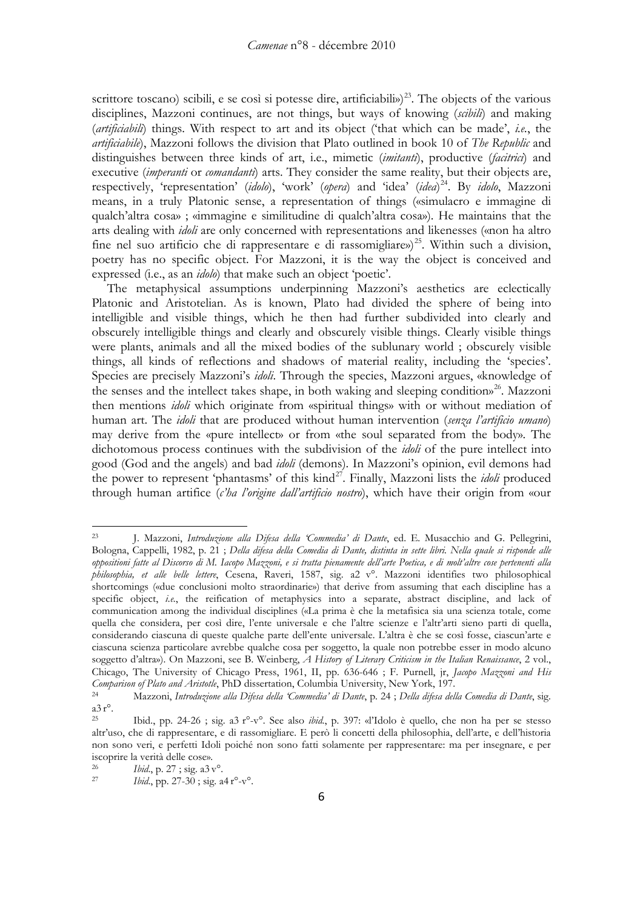scrittore toscano) scibili, e se così si potesse dire, artificiabili»)<sup>23</sup>. The objects of the various disciplines, Mazzoni continues, are not things, but ways of knowing (*scibili*) and making (*artificiabili*) things. With respect to art and its object ('that which can be made', *i.e.*, the *artificiabile*), Mazzoni follows the division that Plato outlined in book 10 of *The Republic* and distinguishes between three kinds of art, i.e., mimetic (*imitanti*), productive (*facitrici*) and executive (*imperanti* or *comandanti*) arts. They consider the same reality, but their objects are, respectively, 'representation' (*idolo*), 'work' (*opera*) and 'idea' (*idea*) [24.](#page-5-1) By *idolo*, Mazzoni means, in a truly Platonic sense, a representation of things («simulacro e immagine di qualch'altra cosa» ; «immagine e similitudine di qualch'altra cosa»). He maintains that the arts dealing with *idoli* are only concerned with representations and likenesses («non ha altro fine nel suo artificio che di rappresentare e di rassomigliare»)<sup>[25](#page-5-2)</sup>. Within such a division, poetry has no specific object. For Mazzoni, it is the way the object is conceived and expressed (i.e., as an *idolo*) that make such an object 'poetic'.

The metaphysical assumptions underpinning Mazzoni's aesthetics are eclectically Platonic and Aristotelian. As is known, Plato had divided the sphere of being into intelligible and visible things, which he then had further subdivided into clearly and obscurely intelligible things and clearly and obscurely visible things. Clearly visible things were plants, animals and all the mixed bodies of the sublunary world ; obscurely visible things, all kinds of reflections and shadows of material reality, including the 'species'. Species are precisely Mazzoni's *idoli*. Through the species, Mazzoni argues, «knowledge of the senses and the intellect takes shape, in both waking and sleeping condition» [26](#page-5-3). Mazzoni then mentions *idoli* which originate from «spiritual things» with or without mediation of human art. The *idoli* that are produced without human intervention (*senza l'artificio umano*) may derive from the «pure intellect» or from «the soul separated from the body». The dichotomous process continues with the subdivision of the *idoli* of the pure intellect into good (God and the angels) and bad *idoli* (demons). In Mazzoni's opinion, evil demons had the power to represent 'phantasms' of this kind<sup>[27](#page-5-4)</sup>. Finally, Mazzoni lists the *idoli* produced through human artifice (*c'ha l'origine dall'artificio nostro*), which have their origin from «our

<span id="page-5-0"></span><sup>23</sup> J. Mazzoni, *Introduzione alla Difesa della 'Commedia' di Dante*, ed. E. Musacchio and G. Pellegrini, Bologna, Cappelli, 1982, p. 21 ; *Della difesa della Comedia di Dante, distinta in sette libri. Nella quale si risponde alle oppositioni fatte al Discorso di M. Iacopo Mazzoni, e si tratta pienamente dell'arte Poetica, e di molt'altre cose pertenenti alla philosophia, et alle belle lettere*, Cesena, Raveri, 1587, sig. a2 v°. Mazzoni identifies two philosophical shortcomings («due conclusioni molto straordinarie») that derive from assuming that each discipline has a specific object, *i.e.*, the reification of metaphysics into a separate, abstract discipline, and lack of communication among the individual disciplines («La prima è che la metafisica sia una scienza totale, come quella che considera, per così dire, l'ente universale e che l'altre scienze e l'altr'arti sieno parti di quella, considerando ciascuna di queste qualche parte dell'ente universale. L'altra è che se così fosse, ciascun'arte e ciascuna scienza particolare avrebbe qualche cosa per soggetto, la quale non potrebbe esser in modo alcuno soggetto d'altra»). On Mazzoni, see B. Weinberg, *A History of Literary Criticism in the Italian Renaissance*, 2 vol., Chicago, The University of Chicago Press, 1961, II, pp. 636-646 ; F. Purnell, jr, *Jacopo Mazzoni and His Comparison of Plato and Aristotle*, PhD dissertation, Columbia University, New York, 197. 24 Mazzoni, *Introduzione alla Difesa della 'Commedia' di Dante*, p. 24 ; *Della difesa della Comedia di Dante*, sig.

<span id="page-5-1"></span> $a3 r^{\circ}$ .

<span id="page-5-2"></span><sup>25</sup> Ibid., pp. 24-26 ; sig. a3 r°-v°. See also *ibid.*, p. 397: «l'Idolo è quello, che non ha per se stesso altr'uso, che di rappresentare, e di rassomigliare. E però li concetti della philosophia, dell'arte, e dell'historia non sono veri, e perfetti Idoli poiché non sono fatti solamente per rappresentare: ma per insegnare, e per iscoprire la verità delle cose».

<span id="page-5-3"></span><sup>&</sup>lt;sup>26</sup> *Ibid.*, p. 27; sig. a3 v°.<br><sup>27</sup> *Ibid.* pp. 27-30; sig. a

<span id="page-5-4"></span>*Ibid.*, pp. 27-30; sig. a4 r°-v°.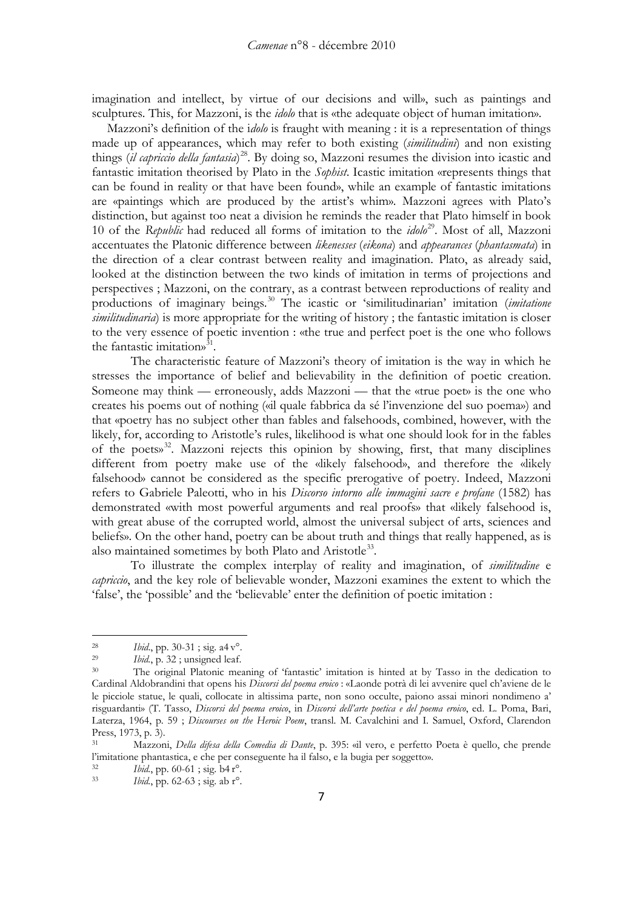imagination and intellect, by virtue of our decisions and will», such as paintings and sculptures. This, for Mazzoni, is the *idolo* that is «the adequate object of human imitation».

Mazzoni's definition of the i*dolo* is fraught with meaning : it is a representation of things made up of appearances, which may refer to both existing (*similitudini*) and non existing things (*il capriccio della fantasia*) [28](#page-6-0). By doing so, Mazzoni resumes the division into icastic and fantastic imitation theorised by Plato in the *Sophist*. Icastic imitation «represents things that can be found in reality or that have been found», while an example of fantastic imitations are «paintings which are produced by the artist's whim». Mazzoni agrees with Plato's distinction, but against too neat a division he reminds the reader that Plato himself in book 10 of the *Republic* had reduced all forms of imitation to the *idolo*[29](#page-6-1). Most of all, Mazzoni accentuates the Platonic difference between *likenesses* (*eikona*) and *appearances* (*phantasmata*) in the direction of a clear contrast between reality and imagination. Plato, as already said, looked at the distinction between the two kinds of imitation in terms of projections and perspectives ; Mazzoni, on the contrary, as a contrast between reproductions of reality and productions of imaginary beings.[30](#page-6-2) The icastic or 'similitudinarian' imitation (*imitatione similitudinaria*) is more appropriate for the writing of history ; the fantastic imitation is closer to the very essence of poetic invention : «the true and perfect poet is the one who follows the fantastic imitations<sup>[31](#page-6-3)</sup>.

The characteristic feature of Mazzoni's theory of imitation is the way in which he stresses the importance of belief and believability in the definition of poetic creation. Someone may think — erroneously, adds Mazzoni — that the «true poet» is the one who creates his poems out of nothing («il quale fabbrica da sé l'invenzione del suo poema») and that «poetry has no subject other than fables and falsehoods, combined, however, with the likely, for, according to Aristotle's rules, likelihood is what one should look for in the fables of the poets» [32.](#page-6-4) Mazzoni rejects this opinion by showing, first, that many disciplines different from poetry make use of the «likely falsehood», and therefore the «likely falsehood» cannot be considered as the specific prerogative of poetry. Indeed, Mazzoni refers to Gabriele Paleotti, who in his *Discorso intorno alle immagini sacre e profane* (1582) has demonstrated «with most powerful arguments and real proofs» that «likely falsehood is, with great abuse of the corrupted world, almost the universal subject of arts, sciences and beliefs». On the other hand, poetry can be about truth and things that really happened, as is also maintained sometimes by both Plato and Aristotle<sup>[33](#page-6-5)</sup>.

To illustrate the complex interplay of reality and imagination, of *similitudine* e *capriccio*, and the key role of believable wonder, Mazzoni examines the extent to which the 'false', the 'possible' and the 'believable' enter the definition of poetic imitation :

<span id="page-6-1"></span><span id="page-6-0"></span><sup>&</sup>lt;sup>28</sup> *Ibid.*, pp. 30-31; sig. a4 v<sup>o</sup>.<br><sup>29</sup> *Ibid.* p. 32; unsigned leaf

<sup>&</sup>lt;sup>29</sup> *Ibid.*, p. 32 ; unsigned leaf.<br><sup>30</sup> The original Platonic met

<span id="page-6-2"></span>The original Platonic meaning of 'fantastic' imitation is hinted at by Tasso in the dedication to Cardinal Aldobrandini that opens his *Discorsi del poema eroico* : «Laonde potrà di lei avvenire quel ch'aviene de le le picciole statue, le quali, collocate in altissima parte, non sono occulte, paiono assai minori nondimeno a' risguardanti» (T. Tasso, *Discorsi del poema eroico*, in *Discorsi dell'arte poetica e del poema eroico*, ed. L. Poma, Bari, Laterza, 1964, p. 59 ; *Discourses on the Heroic Poem*, transl. M. Cavalchini and I. Samuel, Oxford, Clarendon Press, 1973, p. 3).

<span id="page-6-3"></span><sup>31</sup> Mazzoni, *Della difesa della Comedia di Dante*, p. 395: «il vero, e perfetto Poeta è quello, che prende l'imitatione phantastica, e che per conseguente ha il falso, e la bugia per soggetto».

<span id="page-6-5"></span><span id="page-6-4"></span> $\frac{32}{33}$  *Ibid.*, pp. 60-61; sig. b4 r<sup>o</sup>.<br> $\frac{1}{2}$ 

*Ibid.*, pp. 62-63; sig. ab r°.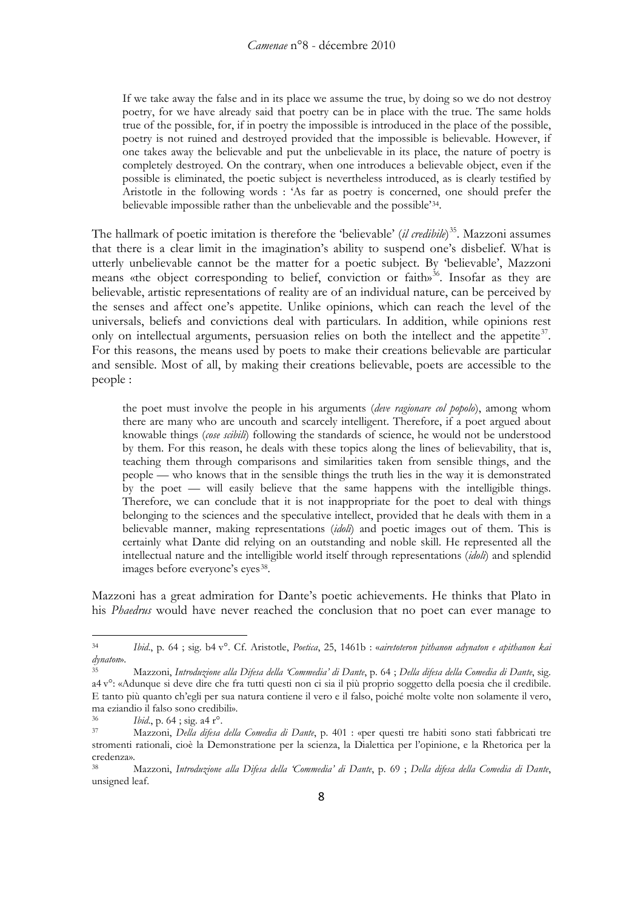If we take away the false and in its place we assume the true, by doing so we do not destroy poetry, for we have already said that poetry can be in place with the true. The same holds true of the possible, for, if in poetry the impossible is introduced in the place of the possible, poetry is not ruined and destroyed provided that the impossible is believable. However, if one takes away the believable and put the unbelievable in its place, the nature of poetry is completely destroyed. On the contrary, when one introduces a believable object, even if the possible is eliminated, the poetic subject is nevertheless introduced, as is clearly testified by Aristotle in the following words : 'As far as poetry is concerned, one should prefer the believable impossible rather than the unbelievable and the possible'[34](#page-7-0) .

The hallmark of poetic imitation is therefore the 'believable' (*il credibile*) [35.](#page-7-1) Mazzoni assumes that there is a clear limit in the imagination's ability to suspend one's disbelief. What is utterly unbelievable cannot be the matter for a poetic subject. By 'believable', Mazzoni means «the object corresponding to belief, conviction or faith»<sup>[36](#page-7-2)</sup>. Insofar as they are believable, artistic representations of reality are of an individual nature, can be perceived by the senses and affect one's appetite. Unlike opinions, which can reach the level of the universals, beliefs and convictions deal with particulars. In addition, while opinions rest only on intellectual arguments, persuasion relies on both the intellect and the appetite<sup>[37](#page-7-3)</sup>. For this reasons, the means used by poets to make their creations believable are particular and sensible. Most of all, by making their creations believable, poets are accessible to the people :

the poet must involve the people in his arguments (*deve ragionare col popolo*), among whom there are many who are uncouth and scarcely intelligent. Therefore, if a poet argued about knowable things (*cose scibili*) following the standards of science, he would not be understood by them. For this reason, he deals with these topics along the lines of believability, that is, teaching them through comparisons and similarities taken from sensible things, and the people — who knows that in the sensible things the truth lies in the way it is demonstrated by the poet — will easily believe that the same happens with the intelligible things. Therefore, we can conclude that it is not inappropriate for the poet to deal with things belonging to the sciences and the speculative intellect, provided that he deals with them in a believable manner, making representations (*idoli*) and poetic images out of them. This is certainly what Dante did relying on an outstanding and noble skill. He represented all the intellectual nature and the intelligible world itself through representations (*idoli*) and splendid images before everyone's eyes [38](#page-7-4) .

Mazzoni has a great admiration for Dante's poetic achievements. He thinks that Plato in his *Phaedrus* would have never reached the conclusion that no poet can ever manage to

<span id="page-7-0"></span><sup>34</sup> *Ibid*., p. 64 ; sig. b4 v°. Cf. Aristotle, *Poetica*, 25, 1461b : «*airetoteron pithanon adynaton e apithanon kai dynaton*».

<span id="page-7-1"></span><sup>35</sup> Mazzoni, *Introduzione alla Difesa della 'Commedia' di Dante*, p. 64 ; *Della difesa della Comedia di Dante*, sig. a4 v°: «Adunque si deve dire che fra tutti questi non ci sia il più proprio soggetto della poesia che il credibile. E tanto più quanto ch'egli per sua natura contiene il vero e il falso, poiché molte volte non solamente il vero, ma eziandio il falso sono credibili».

<span id="page-7-2"></span><sup>36</sup> *Ibid*., p. 64 ; sig. a4 r°.

<span id="page-7-3"></span><sup>37</sup> Mazzoni, *Della difesa della Comedia di Dante*, p. 401 : «per questi tre habiti sono stati fabbricati tre stromenti rationali, cioè la Demonstratione per la scienza, la Dialettica per l'opinione, e la Rhetorica per la credenza».

<span id="page-7-4"></span><sup>38</sup> Mazzoni, *Introduzione alla Difesa della 'Commedia' di Dante*, p. 69 ; *Della difesa della Comedia di Dante*, unsigned leaf.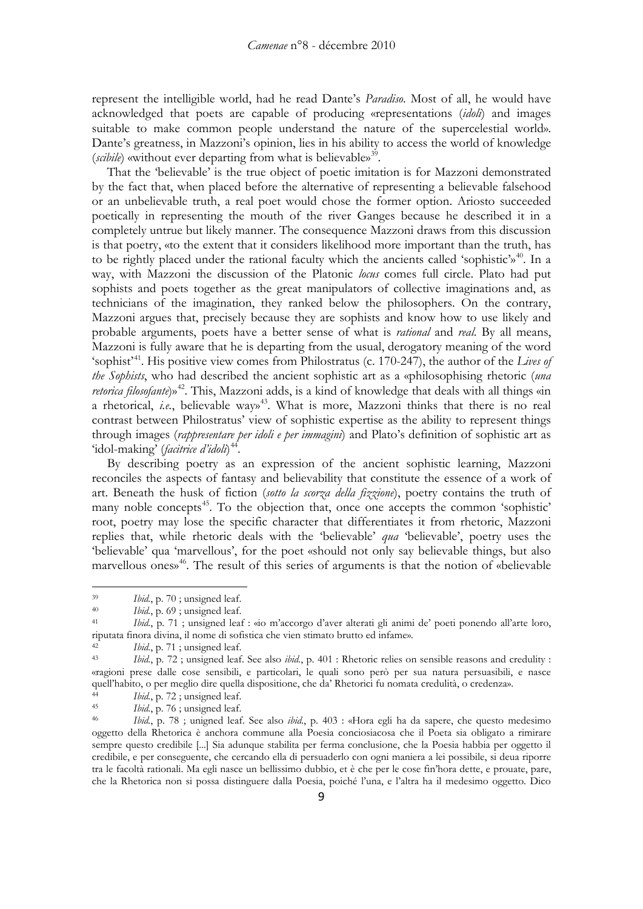represent the intelligible world, had he read Dante's *Paradiso*. Most of all, he would have acknowledged that poets are capable of producing «representations (*idoli*) and images suitable to make common people understand the nature of the supercelestial world». Dante's greatness, in Mazzoni's opinion, lies in his ability to access the world of knowledge (scibile) «without ever departing from what is believable»<sup>[39](#page-8-0)</sup>.

That the 'believable' is the true object of poetic imitation is for Mazzoni demonstrated by the fact that, when placed before the alternative of representing a believable falsehood or an unbelievable truth, a real poet would chose the former option. Ariosto succeeded poetically in representing the mouth of the river Ganges because he described it in a completely untrue but likely manner. The consequence Mazzoni draws from this discussion is that poetry, «to the extent that it considers likelihood more important than the truth, has to be rightly placed under the rational faculty which the ancients called 'sophistic'» [40](#page-8-1). In a way, with Mazzoni the discussion of the Platonic *locus* comes full circle. Plato had put sophists and poets together as the great manipulators of collective imaginations and, as technicians of the imagination, they ranked below the philosophers. On the contrary, Mazzoni argues that, precisely because they are sophists and know how to use likely and probable arguments, poets have a better sense of what is *rational* and *real*. By all means, Mazzoni is fully aware that he is departing from the usual, derogatory meaning of the word 'sophist'[41.](#page-8-2) His positive view comes from Philostratus (c. 170-247), the author of the *Lives of the Sophists*, who had described the ancient sophistic art as a «philosophising rhetoric (*una*  retorica filosofante)»<sup>[42](#page-8-3)</sup>. This, Mazzoni adds, is a kind of knowledge that deals with all things «in a rhetorical, *i.e.*, believable way»<sup>43</sup>. What is more, Mazzoni thinks that there is no real contrast between Philostratus' view of sophistic expertise as the ability to represent things through images (*rappresentare per idoli e per immagini*) and Plato's definition of sophistic art as 'idol-making' (*facitrice d'idoli*) [44](#page-8-5) .

By describing poetry as an expression of the ancient sophistic learning, Mazzoni reconciles the aspects of fantasy and believability that constitute the essence of a work of art. Beneath the husk of fiction (*sotto la scorza della fizzione*), poetry contains the truth of many noble concepts<sup>45</sup>. To the objection that, once one accepts the common 'sophistic' root, poetry may lose the specific character that differentiates it from rhetoric, Mazzoni replies that, while rhetoric deals with the 'believable' *qua* 'believable', poetry uses the 'believable' qua 'marvellous', for the poet «should not only say believable things, but also marvellous ones»<sup>[46](#page-8-0)</sup>. The result of this series of arguments is that the notion of «believable

<span id="page-8-0"></span><sup>&</sup>lt;sup>39</sup> *Ibid.*, p. 70; unsigned leaf.<br><sup>40</sup> *Ibid.*, p. 69; unsigned leaf.

<sup>40</sup> *Ibid.*, p. 69; unsigned leaf.<br>41 *Ibid.* p. 71 : unsigned lea

<span id="page-8-2"></span><span id="page-8-1"></span><sup>41</sup> *Ibid.*, p. 71 ; unsigned leaf : «io m'accorgo d'aver alterati gli animi de' poeti ponendo all'arte loro, riputata finora divina, il nome di sofistica che vien stimato brutto ed infame».

<span id="page-8-3"></span><sup>&</sup>lt;sup>42</sup> *Ibid.*, p. 71 ; unsigned leaf.<br><sup>43</sup> *Ibid.*, p. 72 ; unsigned leaf.

<span id="page-8-4"></span><sup>43</sup> *Ibid.*, p. 72 ; unsigned leaf. See also *ibid.*, p. 401 : Rhetoric relies on sensible reasons and credulity : «ragioni prese dalle cose sensibili, e particolari, le quali sono però per sua natura persuasibili, e nasce quell'habito, o per meglio dire quella dispositione, che da' Rhetorici fu nomata credulità, o credenza».

<span id="page-8-5"></span><sup>&</sup>lt;sup>44</sup> *Ibid.*, p. 72; unsigned leaf.<br><sup>45</sup> *Ibid.*, p. 76; unsigned leaf.

<span id="page-8-6"></span><sup>45</sup> *Ibid.*, p. 76 ; unsigned leaf.<br>46 *Ibid.*, p. 78 : uniqued leaf.

<sup>46</sup> *Ibid.*, p. 78 ; unigned leaf. See also *ibid.*, p. 403 : «Hora egli ha da sapere, che questo medesimo oggetto della Rhetorica è anchora commune alla Poesia conciosiacosa che il Poeta sia obligato a rimirare sempre questo credibile [...] Sia adunque stabilita per ferma conclusione, che la Poesia habbia per oggetto il credibile, e per conseguente, che cercando ella di persuaderlo con ogni maniera a lei possibile, si deua riporre tra le facoltà rationali. Ma egli nasce un bellissimo dubbio, et è che per le cose fin'hora dette, e prouate, pare, che la Rhetorica non si possa distinguere dalla Poesia, poiché l'una, e l'altra ha il medesimo oggetto. Dico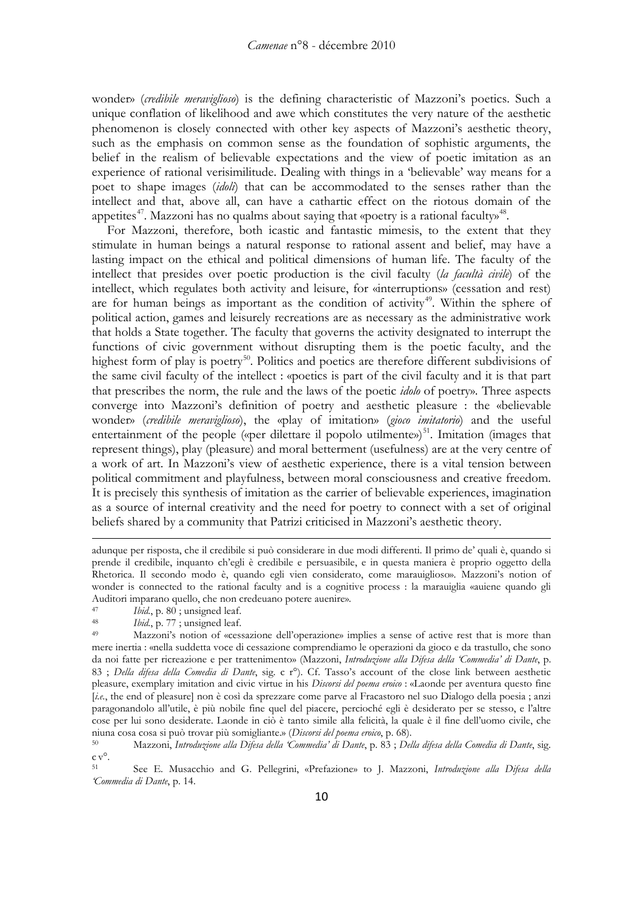wonder» (*credibile meraviglioso*) is the defining characteristic of Mazzoni's poetics. Such a unique conflation of likelihood and awe which constitutes the very nature of the aesthetic phenomenon is closely connected with other key aspects of Mazzoni's aesthetic theory, such as the emphasis on common sense as the foundation of sophistic arguments, the belief in the realism of believable expectations and the view of poetic imitation as an experience of rational verisimilitude. Dealing with things in a 'believable' way means for a poet to shape images (*idoli*) that can be accommodated to the senses rather than the intellect and that, above all, can have a cathartic effect on the riotous domain of the appetites<sup>[47](#page-9-0)</sup>. Mazzoni has no qualms about saying that «poetry is a rational faculty»<sup>48</sup>.

For Mazzoni, therefore, both icastic and fantastic mimesis, to the extent that they stimulate in human beings a natural response to rational assent and belief, may have a lasting impact on the ethical and political dimensions of human life. The faculty of the intellect that presides over poetic production is the civil faculty (*la facultà civile*) of the intellect, which regulates both activity and leisure, for «interruptions» (cessation and rest) are for human beings as important as the condition of activity<sup>[49](#page-9-2)</sup>. Within the sphere of political action, games and leisurely recreations are as necessary as the administrative work that holds a State together. The faculty that governs the activity designated to interrupt the functions of civic government without disrupting them is the poetic faculty, and the highest form of play is poetry<sup>50</sup>. Politics and poetics are therefore different subdivisions of the same civil faculty of the intellect : «poetics is part of the civil faculty and it is that part that prescribes the norm, the rule and the laws of the poetic *idolo* of poetry». Three aspects converge into Mazzoni's definition of poetry and aesthetic pleasure : the «believable wonder» (*credibile meraviglioso*), the «play of imitation» (*gioco imitatorio*) and the useful entertainment of the people («per dilettare il popolo utilmente»)<sup>[51](#page-9-4)</sup>. Imitation (images that represent things), play (pleasure) and moral betterment (usefulness) are at the very centre of a work of art. In Mazzoni's view of aesthetic experience, there is a vital tension between political commitment and playfulness, between moral consciousness and creative freedom. It is precisely this synthesis of imitation as the carrier of believable experiences, imagination as a source of internal creativity and the need for poetry to connect with a set of original beliefs shared by a community that Patrizi criticised in Mazzoni's aesthetic theory.

<u>.</u>

<span id="page-9-1"></span>48 *Ibid.*, p. 77; unsigned leaf.<br>49 Mazzoni's notion of *«cess* 

adunque per risposta, che il credibile si può considerare in due modi differenti. Il primo de' quali è, quando si prende il credibile, inquanto ch'egli è credibile e persuasibile, e in questa maniera è proprio oggetto della Rhetorica. Il secondo modo è, quando egli vien considerato, come marauiglioso». Mazzoni's notion of wonder is connected to the rational faculty and is a cognitive process : la marauiglia «auiene quando gli Auditori imparano quello, che non credeuano potere auenire».<br><sup>47</sup> Ibid. p. 80 : unsigned leaf.

<span id="page-9-0"></span><sup>47</sup> *Ibid.*, p. 80; unsigned leaf.<br>48 *Ibid.* p. 77; unsigned leaf.

<span id="page-9-2"></span>Mazzoni's notion of «cessazione dell'operazione» implies a sense of active rest that is more than mere inertia : «nella suddetta voce di cessazione comprendiamo le operazioni da gioco e da trastullo, che sono da noi fatte per ricreazione e per trattenimento» (Mazzoni, *Introduzione alla Difesa della 'Commedia' di Dante*, p. 83 ; *Della difesa della Comedia di Dante*, sig. c r°). Cf. Tasso's account of the close link between aesthetic pleasure, exemplary imitation and civic virtue in his *Discorsi del poema eroico* : «Laonde per aventura questo fine [*i.e.*, the end of pleasure] non è così da sprezzare come parve al Fracastoro nel suo Dialogo della poesia ; anzi paragonandolo all'utile, è più nobile fine quel del piacere, percioché egli è desiderato per se stesso, e l'altre cose per lui sono desiderate. Laonde in ciò è tanto simile alla felicità, la quale è il fine dell'uomo civile, che niuna cosa cosa si può trovar più somigliante.» (*Discorsi del poema eroico*, p. 68).

<span id="page-9-3"></span><sup>50</sup> Mazzoni, *Introduzione alla Difesa della 'Commedia' di Dante*, p. 83 ; *Della difesa della Comedia di Dante*, sig. c v°.

<span id="page-9-4"></span><sup>51</sup> See E. Musacchio and G. Pellegrini, «Prefazione» to J. Mazzoni, *Introduzione alla Difesa della 'Commedia di Dante*, p. 14.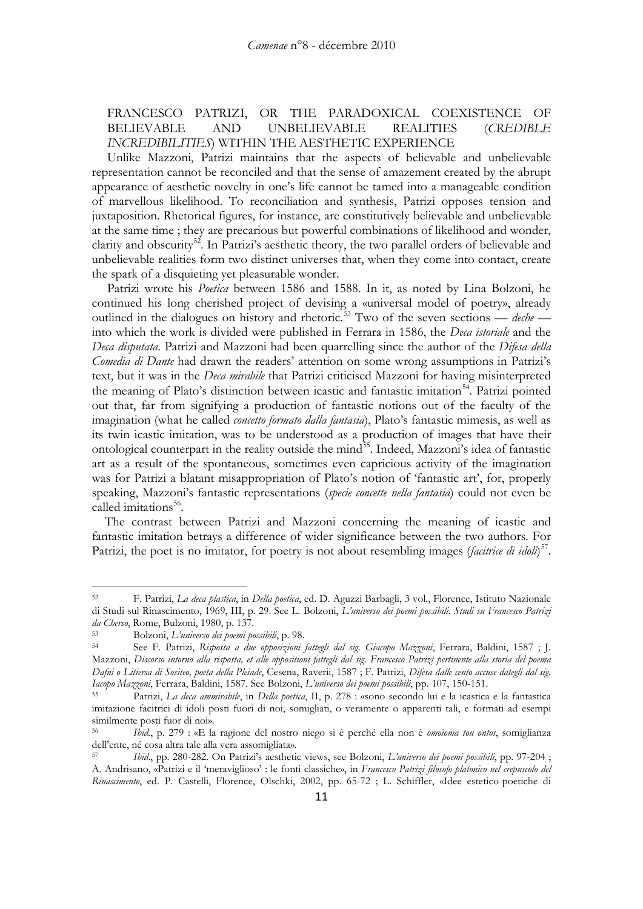## FRANCESCO PATRIZI, OR THE PARADOXICAL COEXISTENCE OF BELIEVABLE AND UNBELIEVABLE REALITIES (*CREDIBLE INCREDIBILITIES*) WITHIN THE AESTHETIC EXPERIENCE

Unlike Mazzoni, Patrizi maintains that the aspects of believable and unbelievable representation cannot be reconciled and that the sense of amazement created by the abrupt appearance of aesthetic novelty in one's life cannot be tamed into a manageable condition of marvellous likelihood. To reconciliation and synthesis, Patrizi opposes tension and juxtaposition. Rhetorical figures, for instance, are constitutively believable and unbelievable at the same time ; they are precarious but powerful combinations of likelihood and wonder, clarity and obscurity<sup>52</sup>. In Patrizi's aesthetic theory, the two parallel orders of believable and unbelievable realities form two distinct universes that, when they come into contact, create the spark of a disquieting yet pleasurable wonder.

Patrizi wrote his *Poetica* between 1586 and 1588. In it, as noted by Lina Bolzoni, he continued his long cherished project of devising a «universal model of poetry», already outlined in the dialogues on history and rhetoric. [53](#page-10-1) Two of the seven sections — *deche* into which the work is divided were published in Ferrara in 1586, the *Deca istoriale* and the *Deca disputata*. Patrizi and Mazzoni had been quarrelling since the author of the *Difesa della Comedia di Dante* had drawn the readers' attention on some wrong assumptions in Patrizi's text, but it was in the *Deca mirabile* that Patrizi criticised Mazzoni for having misinterpreted the meaning of Plato's distinction between icastic and fantastic imitation<sup>54</sup>. Patrizi pointed out that, far from signifying a production of fantastic notions out of the faculty of the imagination (what he called *concetto formato dalla fantasia*), Plato's fantastic mimesis, as well as its twin icastic imitation, was to be understood as a production of images that have their ontological counterpart in the reality outside the mind<sup>55</sup>. Indeed, Mazzoni's idea of fantastic art as a result of the spontaneous, sometimes even capricious activity of the imagination was for Patrizi a blatant misappropriation of Plato's notion of 'fantastic art', for, properly speaking, Mazzoni's fantastic representations (*specie concette nella fantasia*) could not even be called imitations<sup>[56](#page-10-4)</sup>.

The contrast between Patrizi and Mazzoni concerning the meaning of icastic and fantastic imitation betrays a difference of wider significance between the two authors. For Patrizi, the poet is no imitator, for poetry is not about resembling images (*facitrice di idoli*)<sup>[57](#page-10-0)</sup>.

<span id="page-10-0"></span><sup>52</sup> F. Patrizi, *La deca plastica*, in *Della poetica*, ed. D. Aguzzi Barbagli, 3 vol., Florence, Istituto Nazionale di Studi sul Rinascimento, 1969, III, p. 29. See L. Bolzoni, *L'universo dei poemi possibili. Studi su Francesco Patrizi* 

<span id="page-10-1"></span>*da Cherso*, Rome, Bulzoni, 1980, p. 137. 53 Bolzoni, *L'universo dei poemi possibili*, p. 98.

<span id="page-10-2"></span><sup>54</sup> See F. Patrizi, *Risposta a due opposizioni fattegli dal sig. Giacopo Mazzoni*, Ferrara, Baldini, 1587 ; J. Mazzoni, *Discorso intorno alla risposta, et alle oppositioni fattegli dal sig. Francesco Patrizi pertinente alla storia del poema Dafni o Litiersa di Sositeo, poeta della Pleiade*, Cesena, Raverii, 1587 ; F. Patrizi, *Difesa dalle cento accuse dategli dal sig.* Iacopo Mazzoni, Ferrara, Baldini, 1587. See Bolzoni, L'universo dei poemi possibili, pp. 107, 150-151.<br><sup>55</sup> Patrizi, La deca ammirabile, in Della poetica, II, p. 278 : «sono secondo lui e la icastica e la fantastica

<span id="page-10-3"></span>imitazione facitrici di idoli posti fuori di noi, somigliati, o veramente o apparenti tali, e formati ad esempi similmente posti fuor di noi».

<span id="page-10-4"></span><sup>56</sup> *Ibid.*, p. 279 : «E la ragione del nostro niego si è perché ella non è *omoioma tou ontos*, somiglianza dell'ente, né cosa altra tale alla vera assomigliata».

<sup>57</sup> *Ibid*., pp. 280-282. On Patrizi's aesthetic views, see Bolzoni, *L'universo dei poemi possibili*, pp. 97-204 ; A. Andrisano, «Patrizi e il 'meraviglioso' : le fonti classiche», in *Francesco Patrizi filosofo platonico nel crepuscolo del Rinascimento*, ed. P. Castelli, Florence, Olschki, 2002, pp. 65-72 ; L. Schiffler, «Idee estetico-poetiche di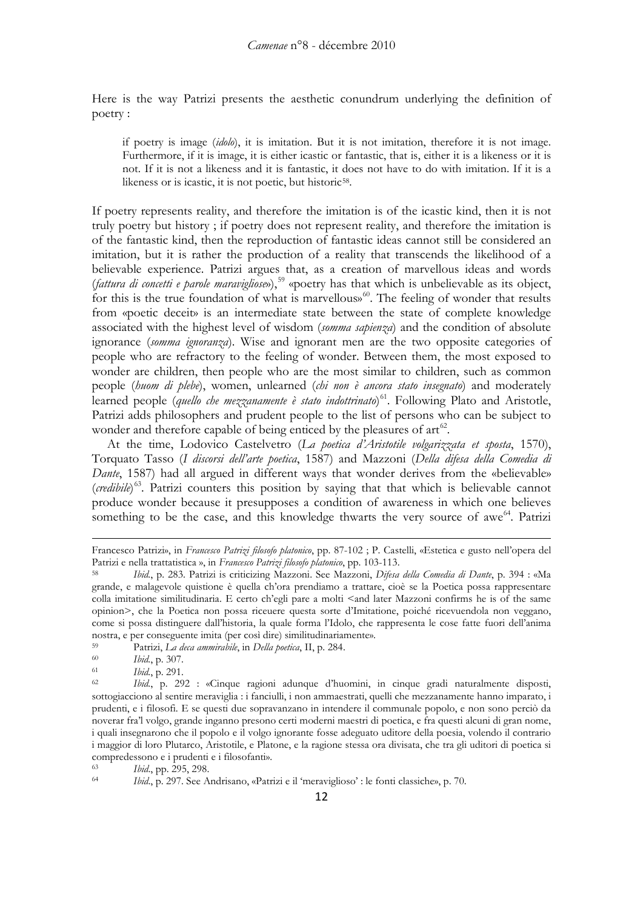Here is the way Patrizi presents the aesthetic conundrum underlying the definition of poetry :

if poetry is image (*idolo*), it is imitation. But it is not imitation, therefore it is not image. Furthermore, if it is image, it is either icastic or fantastic, that is, either it is a likeness or it is not. If it is not a likeness and it is fantastic, it does not have to do with imitation. If it is a likeness or is icastic, it is not poetic, but historic<sup>[58](#page-11-0)</sup>.

If poetry represents reality, and therefore the imitation is of the icastic kind, then it is not truly poetry but history ; if poetry does not represent reality, and therefore the imitation is of the fantastic kind, then the reproduction of fantastic ideas cannot still be considered an imitation, but it is rather the production of a reality that transcends the likelihood of a believable experience. Patrizi argues that, as a creation of marvellous ideas and words (*fattura di concetti e parole maravigliose*»), [59](#page-11-1) «poetry has that which is unbelievable as its object, for this is the true foundation of what is marvellous»<sup>[60](#page-11-2)</sup>. The feeling of wonder that results from «poetic deceit» is an intermediate state between the state of complete knowledge associated with the highest level of wisdom (*somma sapienza*) and the condition of absolute ignorance (*somma ignoranza*). Wise and ignorant men are the two opposite categories of people who are refractory to the feeling of wonder. Between them, the most exposed to wonder are children, then people who are the most similar to children, such as common people (*huom di plebe*), women, unlearned (*chi non è ancora stato insegnato*) and moderately learned people (*quello che mezzanamente è stato indottrinato*) [61.](#page-11-3) Following Plato and Aristotle, Patrizi adds philosophers and prudent people to the list of persons who can be subject to wonder and therefore capable of being enticed by the pleasures of  $art<sup>62</sup>$  $art<sup>62</sup>$  $art<sup>62</sup>$ .

At the time, Lodovico Castelvetro (*La poetica d'Aristotile volgarizzata et sposta*, 1570), Torquato Tasso (*I discorsi dell'arte poetica*, 1587) and Mazzoni (*Della difesa della Comedia di Dante*, 1587) had all argued in different ways that wonder derives from the «believable» (*credibile*) [63.](#page-11-5) Patrizi counters this position by saying that that which is believable cannot produce wonder because it presupposes a condition of awareness in which one believes something to be the case, and this knowledge thwarts the very source of awe<sup>[64](#page-11-6)</sup>. Patrizi

Francesco Patrizi», in *Francesco Patrizi filosofo platonico*, pp. 87-102 ; P. Castelli, «Estetica e gusto nell'opera del Patrizi e nella trattatistica », in *Francesco Patrizi filosofo platonico*, pp. 103-113.

<span id="page-11-0"></span><sup>58</sup> *Ibid.*, p. 283. Patrizi is criticizing Mazzoni. See Mazzoni, *Difesa della Comedia di Dante*, p. 394 : «Ma grande, e malagevole quistione è quella ch'ora prendiamo a trattare, cioè se la Poetica possa rappresentare colla imitatione similitudinaria. E certo ch'egli pare a molti <and later Mazzoni confirms he is of the same opinion>, che la Poetica non possa riceuere questa sorte d'Imitatione, poiché ricevuendola non veggano, come si possa distinguere dall'historia, la quale forma l'Idolo, che rappresenta le cose fatte fuori dell'anima nostra, e per conseguente imita (per così dire) similitudinariamente».

<span id="page-11-1"></span><sup>59</sup> Patrizi, *La deca ammirabile*, in *Della poetica*, II, p. 284.

<span id="page-11-2"></span><sup>60</sup> *Ibid.*, p. 307.

<span id="page-11-4"></span><span id="page-11-3"></span><sup>61</sup> *Ibid.*, p. 291.

<sup>62</sup> *Ibid.*, p. 292 : «Cinque ragioni adunque d'huomini, in cinque gradi naturalmente disposti, sottogiacciono al sentire meraviglia : i fanciulli, i non ammaestrati, quelli che mezzanamente hanno imparato, i prudenti, e i filosofi. E se questi due sopravanzano in intendere il communale popolo, e non sono perciò da noverar fra'l volgo, grande inganno presono certi moderni maestri di poetica, e fra questi alcuni di gran nome, i quali insegnarono che il popolo e il volgo ignorante fosse adeguato uditore della poesia, volendo il contrario i maggior di loro Plutarco, Aristotile, e Platone, e la ragione stessa ora divisata, che tra gli uditori di poetica si compredessono e i prudenti e i filosofanti».

<span id="page-11-6"></span><span id="page-11-5"></span><sup>63</sup> *Ibid*., pp. 295, 298.

<sup>64</sup> *Ibid*., p. 297. See Andrisano, «Patrizi e il 'meraviglioso' : le fonti classiche», p. 70.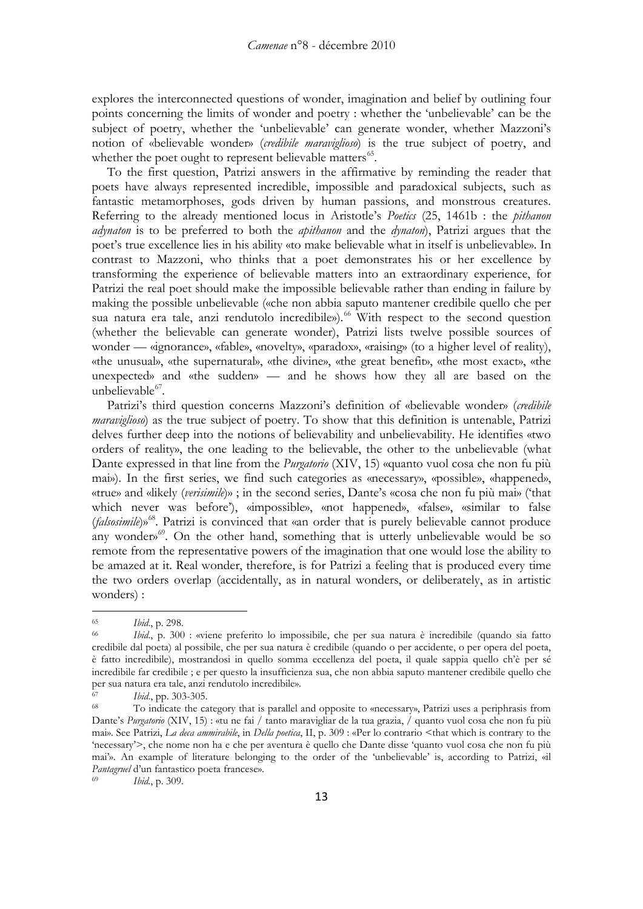explores the interconnected questions of wonder, imagination and belief by outlining four points concerning the limits of wonder and poetry : whether the 'unbelievable' can be the subject of poetry, whether the 'unbelievable' can generate wonder, whether Mazzoni's notion of «believable wonder» (*credibile maraviglioso*) is the true subject of poetry, and whether the poet ought to represent believable matters<sup>[65](#page-12-0)</sup>.

To the first question, Patrizi answers in the affirmative by reminding the reader that poets have always represented incredible, impossible and paradoxical subjects, such as fantastic metamorphoses, gods driven by human passions, and monstrous creatures. Referring to the already mentioned locus in Aristotle's *Poetics* (25, 1461b : the *pithanon adynaton* is to be preferred to both the *apithanon* and the *dynaton*), Patrizi argues that the poet's true excellence lies in his ability «to make believable what in itself is unbelievable». In contrast to Mazzoni, who thinks that a poet demonstrates his or her excellence by transforming the experience of believable matters into an extraordinary experience, for Patrizi the real poet should make the impossible believable rather than ending in failure by making the possible unbelievable («che non abbia saputo mantener credibile quello che per sua natura era tale, anzi rendutolo incredibile»). [66](#page-12-1) With respect to the second question (whether the believable can generate wonder), Patrizi lists twelve possible sources of wonder — «ignorance», «fable», «novelty», «paradox», «raising» (to a higher level of reality), «the unusual», «the supernatural», «the divine», «the great benefit», «the most exact», «the unexpected» and «the sudden» — and he shows how they all are based on the unbelievable<sup>[67](#page-12-2)</sup>.

Patrizi's third question concerns Mazzoni's definition of «believable wonder» (*credibile maraviglioso*) as the true subject of poetry. To show that this definition is untenable, Patrizi delves further deep into the notions of believability and unbelievability. He identifies «two orders of reality», the one leading to the believable, the other to the unbelievable (what Dante expressed in that line from the *Purgatorio* (XIV, 15) «quanto vuol cosa che non fu più mai»). In the first series, we find such categories as «necessary», «possible», «happened», «true» and «likely (*verisimile*)» ; in the second series, Dante's «cosa che non fu più mai» ('that which never was before'), «impossible», «not happened», «false», «similar to false (*falsosimile*)» [68.](#page-12-3) Patrizi is convinced that «an order that is purely believable cannot produce any wonder»<sup>[69](#page-12-4)</sup>. On the other hand, something that is utterly unbelievable would be so remote from the representative powers of the imagination that one would lose the ability to be amazed at it. Real wonder, therefore, is for Patrizi a feeling that is produced every time the two orders overlap (accidentally, as in natural wonders, or deliberately, as in artistic wonders) :

<span id="page-12-4"></span>

<span id="page-12-0"></span><sup>65</sup> *Ibid*., p. 298.

<span id="page-12-1"></span>*Ibid.*, p. 300 : «viene preferito lo impossibile, che per sua natura è incredibile (quando sia fatto credibile dal poeta) al possibile, che per sua natura è credibile (quando o per accidente, o per opera del poeta, è fatto incredibile), mostrandosi in quello somma eccellenza del poeta, il quale sappia quello ch'è per sé incredibile far credibile ; e per questo la insufficienza sua, che non abbia saputo mantener credibile quello che per sua natura era tale, anzi rendutolo incredibile».

<span id="page-12-2"></span><sup>67</sup> *Ibid*., pp. 303-305.

<span id="page-12-3"></span>To indicate the category that is parallel and opposite to «necessary», Patrizi uses a periphrasis from Dante's *Purgatorio* (XIV, 15) : «tu ne fai / tanto maravigliar de la tua grazia, / quanto vuol cosa che non fu più mai». See Patrizi, *La deca ammirabile*, in *Della poetica*, II, p. 309 : «Per lo contrario <that which is contrary to the 'necessary'>, che nome non ha e che per aventura è quello che Dante disse 'quanto vuol cosa che non fu più mai'». An example of literature belonging to the order of the 'unbelievable' is, according to Patrizi, «il *Pantagruel* d'un fantastico poeta francese». 69 *Ibid.*, p. 309.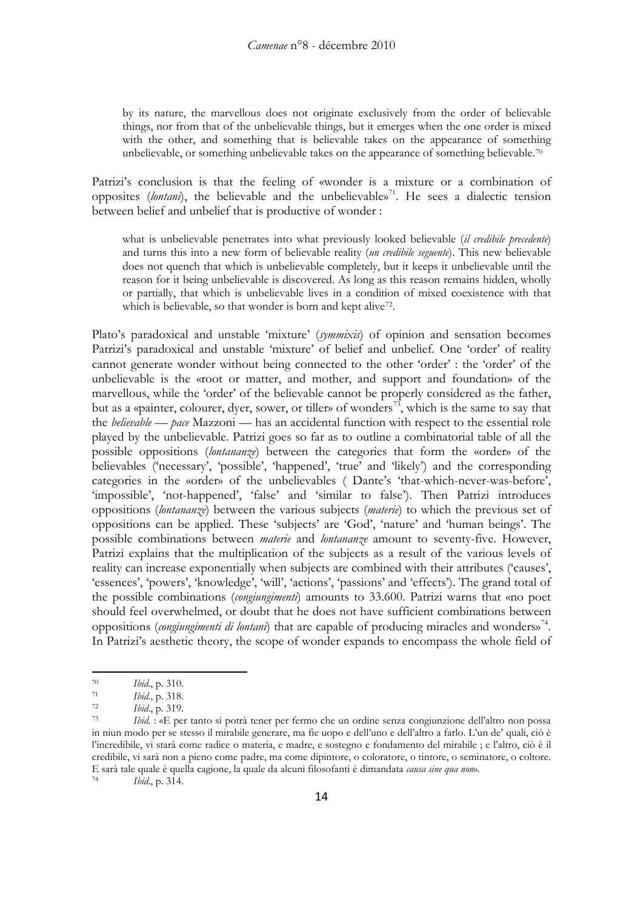by its nature, the marvellous does not originate exclusively from the order of believable things, nor from that of the unbelievable things, but it emerges when the one order is mixed with the other, and something that is believable takes on the appearance of something unbelievable, or something unbelievable takes on the appearance of something believable.[70](#page-13-0)

Patrizi's conclusion is that the feeling of «wonder is a mixture or a combination of opposites (lontani), the believable and the unbelievable»<sup>[71](#page-13-1)</sup>. He sees a dialectic tension between belief and unbelief that is productive of wonder :

what is unbelievable penetrates into what previously looked believable (*il credibile precedente*) and turns this into a new form of believable reality (*un credibile seguente*). This new believable does not quench that which is unbelievable completely, but it keeps it unbelievable until the reason for it being unbelievable is discovered. As long as this reason remains hidden, wholly or partially, that which is unbelievable lives in a condition of mixed coexistence with that which is believable, so that wonder is born and kept alive<sup>[72](#page-13-2)</sup>.

Plato's paradoxical and unstable 'mixture' (*symmixis*) of opinion and sensation becomes Patrizi's paradoxical and unstable 'mixture' of belief and unbelief. One 'order' of reality cannot generate wonder without being connected to the other 'order' : the 'order' of the unbelievable is the «root or matter, and mother, and support and foundation» of the marvellous, while the 'order' of the believable cannot be properly considered as the father, but as a «painter, colourer, dyer, sower, or tiller» of wonders<sup>73</sup>, which is the same to say that the *believable* — *pace* Mazzoni — has an accidental function with respect to the essential role played by the unbelievable. Patrizi goes so far as to outline a combinatorial table of all the possible oppositions (*lontananze*) between the categories that form the «order» of the believables ('necessary', 'possible', 'happened', 'true' and 'likely') and the corresponding categories in the «order» of the unbelievables ( Dante's 'that-which-never-was-before', 'impossible', 'not-happened', 'false' and 'similar to false'). Then Patrizi introduces oppositions (*lontananze*) between the various subjects (*materie*) to which the previous set of oppositions can be applied. These 'subjects' are 'God', 'nature' and 'human beings'. The possible combinations between *materie* and *lontananze* amount to seventy-five. However, Patrizi explains that the multiplication of the subjects as a result of the various levels of reality can increase exponentially when subjects are combined with their attributes ('causes', 'essences', 'powers', 'knowledge', 'will', 'actions', 'passions' and 'effects'). The grand total of the possible combinations (*congiungimenti*) amounts to 33.600. Patrizi warns that «no poet should feel overwhelmed, or doubt that he does not have sufficient combinations between oppositions (*congiungimenti di lontani*) that are capable of producing miracles and wonders»<sup>[74](#page-13-4)</sup>. In Patrizi's aesthetic theory, the scope of wonder expands to encompass the whole field of

<u>.</u>

<span id="page-13-4"></span>*Ibid.*, p. 314.

<span id="page-13-0"></span><sup>70</sup> *Ibid.*, p. 310.

<span id="page-13-1"></span><sup>71</sup> *Ibid.*, p. 318.

<sup>72</sup> *Ibid*., p. 319.

<span id="page-13-3"></span><span id="page-13-2"></span>*Ibid.* : «E per tanto si potrà tener per fermo che un ordine senza congiunzione dell'altro non possa in niun modo per se stesso il mirabile generare, ma fie uopo e dell'uno e dell'altro a farlo. L'un de' quali, ciò è l'incredibile, vi starà come radice o materia, e madre, e sostegno e fondamento del mirabile ; e l'altro, ciò è il credibile, vi sarà non a pieno come padre, ma come dipintore, o coloratore, o tintore, o seminatore, o coltore. E sarà tale quale è quella cagione, la quale da alcuni filosofanti è dimandata *causa sine qua non*».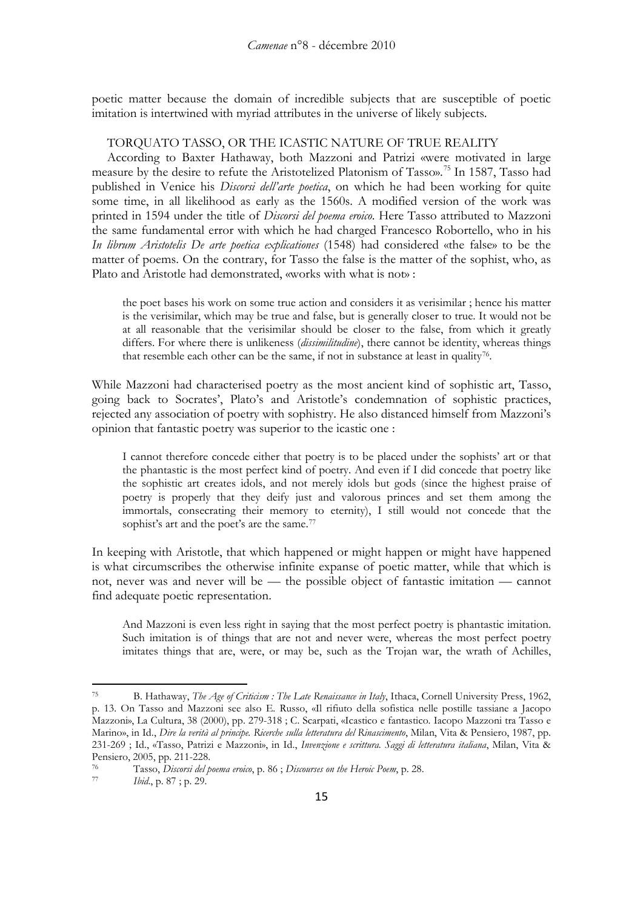poetic matter because the domain of incredible subjects that are susceptible of poetic imitation is intertwined with myriad attributes in the universe of likely subjects.

## TORQUATO TASSO, OR THE ICASTIC NATURE OF TRUE REALITY

According to Baxter Hathaway, both Mazzoni and Patrizi «were motivated in large measure by the desire to refute the Aristotelized Platonism of Tasso».<sup>[75](#page-14-0)</sup> In 1587, Tasso had published in Venice his *Discorsi dell'arte poetica*, on which he had been working for quite some time, in all likelihood as early as the 1560s. A modified version of the work was printed in 1594 under the title of *Discorsi del poema eroico*. Here Tasso attributed to Mazzoni the same fundamental error with which he had charged Francesco Robortello, who in his *In librum Aristotelis De arte poetica explicationes* (1548) had considered «the false» to be the matter of poems. On the contrary, for Tasso the false is the matter of the sophist, who, as Plato and Aristotle had demonstrated, «works with what is not» :

the poet bases his work on some true action and considers it as verisimilar ; hence his matter is the verisimilar, which may be true and false, but is generally closer to true. It would not be at all reasonable that the verisimilar should be closer to the false, from which it greatly differs. For where there is unlikeness (*dissimilitudine*), there cannot be identity, whereas things that resemble each other can be the same, if not in substance at least in quality [76](#page-14-1) .

While Mazzoni had characterised poetry as the most ancient kind of sophistic art, Tasso, going back to Socrates', Plato's and Aristotle's condemnation of sophistic practices, rejected any association of poetry with sophistry. He also distanced himself from Mazzoni's opinion that fantastic poetry was superior to the icastic one :

I cannot therefore concede either that poetry is to be placed under the sophists' art or that the phantastic is the most perfect kind of poetry. And even if I did concede that poetry like the sophistic art creates idols, and not merely idols but gods (since the highest praise of poetry is properly that they deify just and valorous princes and set them among the immortals, consecrating their memory to eternity), I still would not concede that the sophist's art and the poet's are the same.<sup>[77](#page-14-2)</sup>

In keeping with Aristotle, that which happened or might happen or might have happened is what circumscribes the otherwise infinite expanse of poetic matter, while that which is not, never was and never will be — the possible object of fantastic imitation — cannot find adequate poetic representation.

And Mazzoni is even less right in saying that the most perfect poetry is phantastic imitation. Such imitation is of things that are not and never were, whereas the most perfect poetry imitates things that are, were, or may be, such as the Trojan war, the wrath of Achilles,

<span id="page-14-0"></span><sup>75</sup> B. Hathaway, *The Age of Criticism : The Late Renaissance in Italy*, Ithaca, Cornell University Press, 1962, p. 13. On Tasso and Mazzoni see also E. Russo, «Il rifiuto della sofistica nelle postille tassiane a Jacopo Mazzoni», La Cultura, 38 (2000), pp. 279-318 ; C. Scarpati, «Icastico e fantastico. Iacopo Mazzoni tra Tasso e Marino», in Id., *Dire la verità al principe. Ricerche sulla letteratura del Rinascimento*, Milan, Vita & Pensiero, 1987, pp. 231-269 ; Id., «Tasso, Patrizi e Mazzoni», in Id., *Invenzione e scrittura. Saggi di letteratura italiana*, Milan, Vita &

<span id="page-14-1"></span>Pensiero, 2005, pp. 211-228.<br><sup>76</sup> Tasso, *Discorsi del poema eroico*, p. 86 ; *Discourses on the Heroic Poem*, p. 28.<br><sup>77</sup> Ibid. p. <sup>87</sup> : p. 29.

<span id="page-14-2"></span>*Ibid.*, p. 87; p. 29.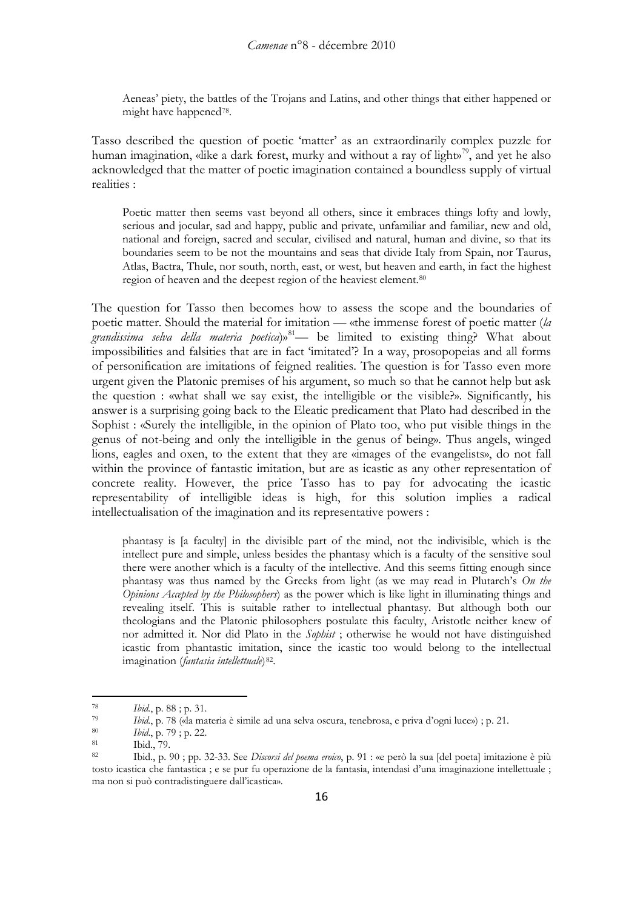Aeneas' piety, the battles of the Trojans and Latins, and other things that either happened or might have happened[78](#page-15-0) .

Tasso described the question of poetic 'matter' as an extraordinarily complex puzzle for human imagination, «like a dark forest, murky and without a ray of light»<sup>[79](#page-15-1)</sup>, and yet he also acknowledged that the matter of poetic imagination contained a boundless supply of virtual realities :

Poetic matter then seems vast beyond all others, since it embraces things lofty and lowly, serious and jocular, sad and happy, public and private, unfamiliar and familiar, new and old, national and foreign, sacred and secular, civilised and natural, human and divine, so that its boundaries seem to be not the mountains and seas that divide Italy from Spain, nor Taurus, Atlas, Bactra, Thule, nor south, north, east, or west, but heaven and earth, in fact the highest region of heaven and the deepest region of the heaviest element.<sup>[80](#page-15-2)</sup>

The question for Tasso then becomes how to assess the scope and the boundaries of poetic matter. Should the material for imitation — «the immense forest of poetic matter (*la grandissima selva della materia poetica*)»[81](#page-15-3) — be limited to existing thing? What about impossibilities and falsities that are in fact 'imitated'? In a way, prosopopeias and all forms of personification are imitations of feigned realities. The question is for Tasso even more urgent given the Platonic premises of his argument, so much so that he cannot help but ask the question : «what shall we say exist, the intelligible or the visible?». Significantly, his answer is a surprising going back to the Eleatic predicament that Plato had described in the Sophist : «Surely the intelligible, in the opinion of Plato too, who put visible things in the genus of not-being and only the intelligible in the genus of being». Thus angels, winged lions, eagles and oxen, to the extent that they are «images of the evangelists», do not fall within the province of fantastic imitation, but are as icastic as any other representation of concrete reality. However, the price Tasso has to pay for advocating the icastic representability of intelligible ideas is high, for this solution implies a radical intellectualisation of the imagination and its representative powers :

phantasy is [a faculty] in the divisible part of the mind, not the indivisible, which is the intellect pure and simple, unless besides the phantasy which is a faculty of the sensitive soul there were another which is a faculty of the intellective. And this seems fitting enough since phantasy was thus named by the Greeks from light (as we may read in Plutarch's *On the Opinions Accepted by the Philosophers*) as the power which is like light in illuminating things and revealing itself. This is suitable rather to intellectual phantasy. But although both our theologians and the Platonic philosophers postulate this faculty, Aristotle neither knew of nor admitted it. Nor did Plato in the *Sophist* ; otherwise he would not have distinguished icastic from phantastic imitation, since the icastic too would belong to the intellectual imagination (*fantasia intellettuale*) [82](#page-15-4) .

<span id="page-15-0"></span><sup>78</sup> *Ibid.*, p. 88 ; p. 31.

<span id="page-15-1"></span><sup>79</sup> *Ibid.*, p. 78 («la materia è simile ad una selva oscura, tenebrosa, e priva d'ogni luce») ; p. 21.

<span id="page-15-2"></span><sup>80</sup> *Ibid*., p. 79 ; p. 22.

<span id="page-15-3"></span> $\begin{array}{ccc}\n & 81 \\
\hline\n & 82\n\end{array}$  Ibid., 79.

<span id="page-15-4"></span><sup>82</sup> Ibid., p. 90 ; pp. 32-33. See *Discorsi del poema eroico*, p. 91 : «e però la sua [del poeta] imitazione è più tosto icastica che fantastica ; e se pur fu operazione de la fantasia, intendasi d'una imaginazione intellettuale ; ma non si può contradistinguere dall'icastica».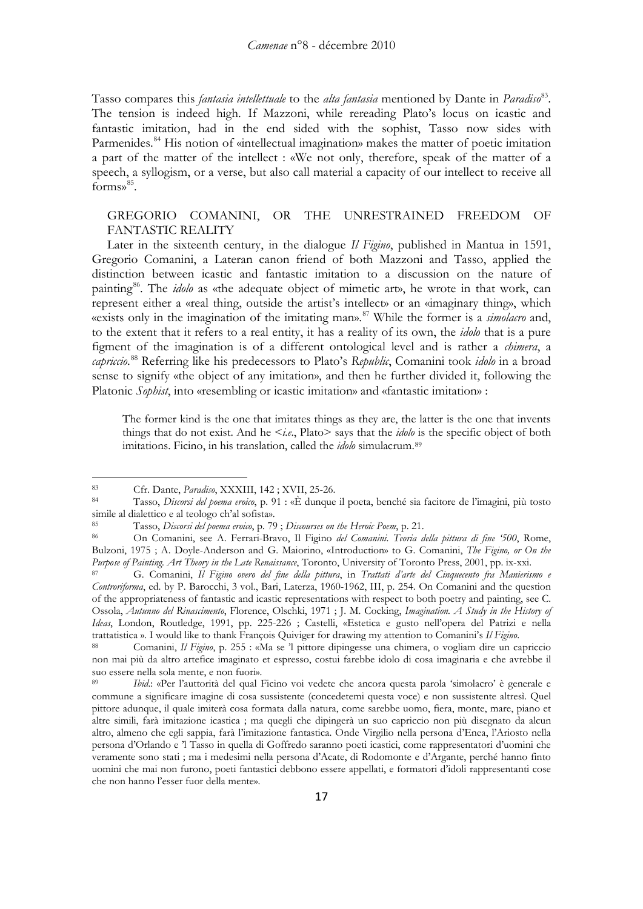Tasso compares this *fantasia intellettuale* to the *alta fantasia* mentioned by Dante in *Paradiso*[83.](#page-16-0) The tension is indeed high. If Mazzoni, while rereading Plato's locus on icastic and fantastic imitation, had in the end sided with the sophist, Tasso now sides with Parmenides.<sup>[84](#page-16-1)</sup> His notion of «intellectual imagination» makes the matter of poetic imitation a part of the matter of the intellect : «We not only, therefore, speak of the matter of a speech, a syllogism, or a verse, but also call material a capacity of our intellect to receive all forms»<sup>[85](#page-16-2)</sup>.

## GREGORIO COMANINI, OR THE UNRESTRAINED FREEDOM OF FANTASTIC REALITY

Later in the sixteenth century, in the dialogue *Il Figino*, published in Mantua in 1591, Gregorio Comanini, a Lateran canon friend of both Mazzoni and Tasso, applied the distinction between icastic and fantastic imitation to a discussion on the nature of painting [86.](#page-16-3) The *idolo* as «the adequate object of mimetic art», he wrote in that work, can represent either a «real thing, outside the artist's intellect» or an «imaginary thing», which «exists only in the imagination of the imitating man».[87](#page-16-4) While the former is a *simolacro* and, to the extent that it refers to a real entity, it has a reality of its own, the *idolo* that is a pure figment of the imagination is of a different ontological level and is rather a *chimera*, a *capriccio*. [88](#page-16-5) Referring like his predecessors to Plato's *Republic*, Comanini took *idolo* in a broad sense to signify «the object of any imitation», and then he further divided it, following the Platonic *Sophist*, into «resembling or icastic imitation» and «fantastic imitation» :

The former kind is the one that imitates things as they are, the latter is the one that invents things that do not exist. And he <*i.e*., Plato> says that the *idolo* is the specific object of both imitations. Ficino, in his translation, called the *idolo* simulacrum. [89](#page-16-6)

<span id="page-16-0"></span><sup>83</sup> Cfr. Dante, *Paradiso*, XXXIII, 142 ; XVII, 25-26.

<span id="page-16-1"></span><sup>84</sup> Tasso, *Discorsi del poema eroico*, p. 91 : «È dunque il poeta, benché sia facitore de l'imagini, più tosto simile al dialettico e al teologo ch'al sofista».

<span id="page-16-2"></span><sup>85</sup> Tasso, *Discorsi del poema eroico*, p. 79 ; *Discourses on the Heroic Poem*, p. 21.

<span id="page-16-3"></span><sup>86</sup> On Comanini, see A. Ferrari-Bravo, Il Figino *del Comanini*. *Teoria della pittura di fine '500*, Rome, Bulzoni, 1975 ; A. Doyle-Anderson and G. Maiorino, «Introduction» to G. Comanini, *The Figino, or On the Purpose of Painting. Art Theory in the Late Renaissance*, Toronto, University of Toronto Press, 2001, pp. ix-xxi.

<span id="page-16-4"></span><sup>87</sup> G. Comanini, *Il Figino overo del fine della pittura*, in *Trattati d'arte del Cinquecento fra Manierismo e Controriforma*, ed. by P. Barocchi, 3 vol., Bari, Laterza, 1960-1962, III, p. 254. On Comanini and the question of the appropriateness of fantastic and icastic representations with respect to both poetry and painting, see C. Ossola, *Autunno del Rinascimento*, Florence, Olschki, 1971 ; J. M. Cocking, *Imagination. A Study in the History of Ideas*, London, Routledge, 1991, pp. 225-226 ; Castelli, «Estetica e gusto nell'opera del Patrizi e nella trattatistica ». I would like to thank François Quiviger for drawing my attention to Comanini's *Il Figino*.

<span id="page-16-5"></span><sup>88</sup> Comanini, *Il Figino*, p. 255 : «Ma se 'l pittore dipingesse una chimera, o vogliam dire un capriccio non mai più da altro artefice imaginato et espresso, costui farebbe idolo di cosa imaginaria e che avrebbe il suo essere nella sola mente, e non fuori».

<span id="page-16-6"></span><sup>89</sup> *Ibid*.: «Per l'auttorità del qual Ficino voi vedete che ancora questa parola 'simolacro' è generale e commune a significare imagine di cosa sussistente (concedetemi questa voce) e non sussistente altresì. Quel pittore adunque, il quale imiterà cosa formata dalla natura, come sarebbe uomo, fiera, monte, mare, piano et altre simili, farà imitazione icastica ; ma quegli che dipingerà un suo capriccio non più disegnato da alcun altro, almeno che egli sappia, farà l'imitazione fantastica. Onde Virgilio nella persona d'Enea, l'Ariosto nella persona d'Orlando e 'l Tasso in quella di Goffredo saranno poeti icastici, come rappresentatori d'uomini che veramente sono stati ; ma i medesimi nella persona d'Acate, di Rodomonte e d'Argante, perché hanno finto uomini che mai non furono, poeti fantastici debbono essere appellati, e formatori d'idoli rappresentanti cose che non hanno l'esser fuor della mente».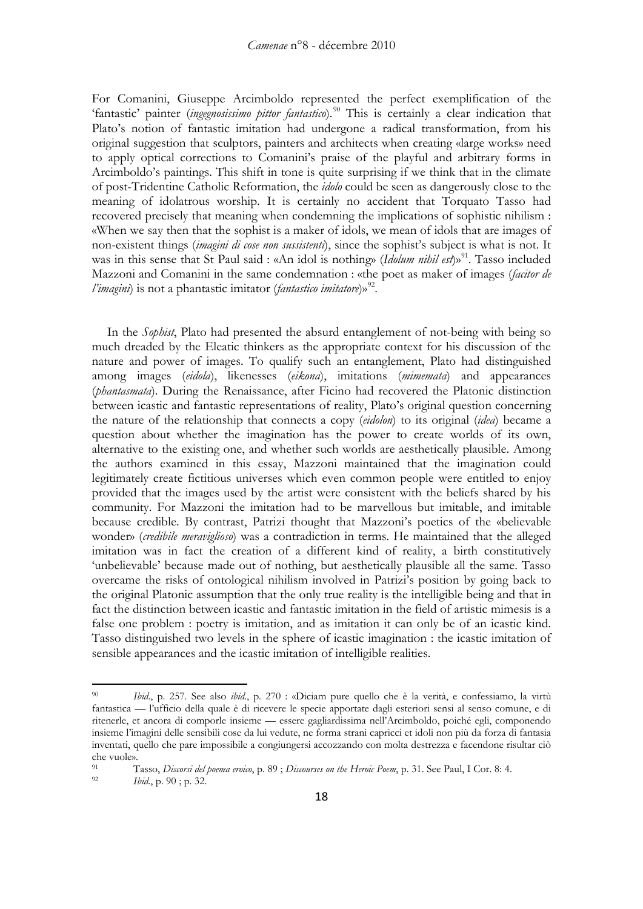For Comanini, Giuseppe Arcimboldo represented the perfect exemplification of the 'fantastic' painter (*ingegnosissimo pittor fantastico*).<sup>[90](#page-17-0)</sup> This is certainly a clear indication that Plato's notion of fantastic imitation had undergone a radical transformation, from his original suggestion that sculptors, painters and architects when creating «large works» need to apply optical corrections to Comanini's praise of the playful and arbitrary forms in Arcimboldo's paintings. This shift in tone is quite surprising if we think that in the climate of post-Tridentine Catholic Reformation, the *idolo* could be seen as dangerously close to the meaning of idolatrous worship. It is certainly no accident that Torquato Tasso had recovered precisely that meaning when condemning the implications of sophistic nihilism : «When we say then that the sophist is a maker of idols, we mean of idols that are images of non-existent things (*imagini di cose non sussistenti*), since the sophist's subject is what is not. It was in this sense that St Paul said : «An idol is nothing» (*Idolum nihil est*)»<sup>91</sup>. Tasso included Mazzoni and Comanini in the same condemnation : «the poet as maker of images (*facitor de*  l'imagini) is not a phantastic imitator (*fantastico imitatore*)»<sup>[92](#page-17-2)</sup>.

In the *Sophist*, Plato had presented the absurd entanglement of not-being with being so much dreaded by the Eleatic thinkers as the appropriate context for his discussion of the nature and power of images. To qualify such an entanglement, Plato had distinguished among images (*eidola*), likenesses (*eikona*), imitations (*mimemata*) and appearances (*phantasmata*). During the Renaissance, after Ficino had recovered the Platonic distinction between icastic and fantastic representations of reality, Plato's original question concerning the nature of the relationship that connects a copy (*eidolon*) to its original (*idea*) became a question about whether the imagination has the power to create worlds of its own, alternative to the existing one, and whether such worlds are aesthetically plausible. Among the authors examined in this essay, Mazzoni maintained that the imagination could legitimately create fictitious universes which even common people were entitled to enjoy provided that the images used by the artist were consistent with the beliefs shared by his community. For Mazzoni the imitation had to be marvellous but imitable, and imitable because credible. By contrast, Patrizi thought that Mazzoni's poetics of the «believable wonder» (*credibile meraviglioso*) was a contradiction in terms. He maintained that the alleged imitation was in fact the creation of a different kind of reality, a birth constitutively 'unbelievable' because made out of nothing, but aesthetically plausible all the same. Tasso overcame the risks of ontological nihilism involved in Patrizi's position by going back to the original Platonic assumption that the only true reality is the intelligible being and that in fact the distinction between icastic and fantastic imitation in the field of artistic mimesis is a false one problem : poetry is imitation, and as imitation it can only be of an icastic kind. Tasso distinguished two levels in the sphere of icastic imagination : the icastic imitation of sensible appearances and the icastic imitation of intelligible realities.

<span id="page-17-0"></span><sup>90</sup> *Ibid*., p. 257. See also *ibid*., p. 270 : «Diciam pure quello che è la verità, e confessiamo, la virtù fantastica — l'ufficio della quale è di ricevere le specie apportate dagli esteriori sensi al senso comune, e di ritenerle, et ancora di comporle insieme — essere gagliardissima nell'Arcimboldo, poiché egli, componendo insieme l'imagini delle sensibili cose da lui vedute, ne forma strani capricci et idoli non più da forza di fantasia inventati, quello che pare impossibile a congiungersi accozzando con molta destrezza e facendone risultar ciò che vuole».

<span id="page-17-2"></span><span id="page-17-1"></span><sup>91</sup> Tasso, *Discorsi del poema eroico*, p. 89 ; *Discourses on the Heroic Poem*, p. 31. See Paul, I Cor. 8: 4. *Ibid.*, p. 90; p. 32.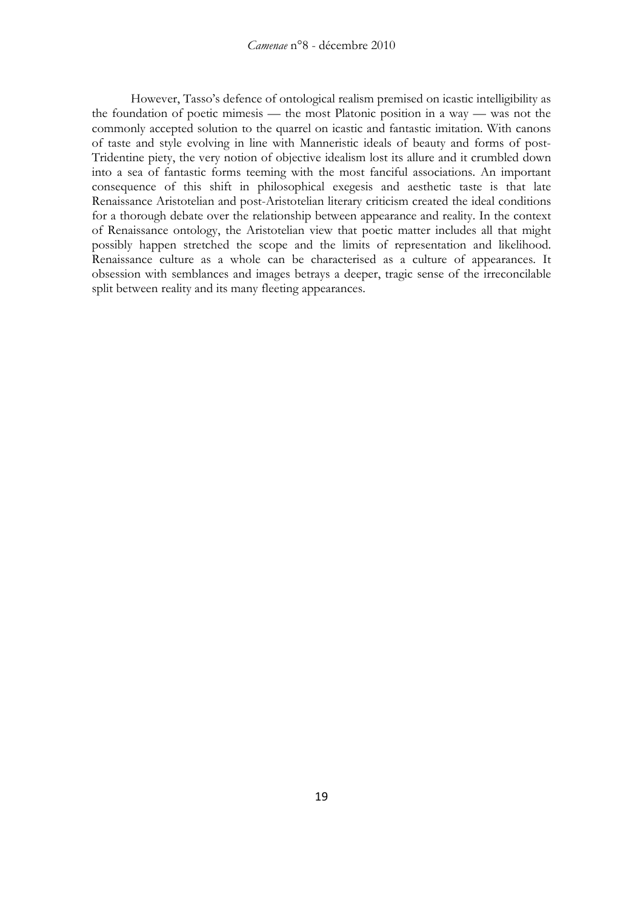However, Tasso's defence of ontological realism premised on icastic intelligibility as the foundation of poetic mimesis — the most Platonic position in a way — was not the commonly accepted solution to the quarrel on icastic and fantastic imitation. With canons of taste and style evolving in line with Manneristic ideals of beauty and forms of post-Tridentine piety, the very notion of objective idealism lost its allure and it crumbled down into a sea of fantastic forms teeming with the most fanciful associations. An important consequence of this shift in philosophical exegesis and aesthetic taste is that late Renaissance Aristotelian and post-Aristotelian literary criticism created the ideal conditions for a thorough debate over the relationship between appearance and reality. In the context of Renaissance ontology, the Aristotelian view that poetic matter includes all that might possibly happen stretched the scope and the limits of representation and likelihood. Renaissance culture as a whole can be characterised as a culture of appearances. It obsession with semblances and images betrays a deeper, tragic sense of the irreconcilable split between reality and its many fleeting appearances.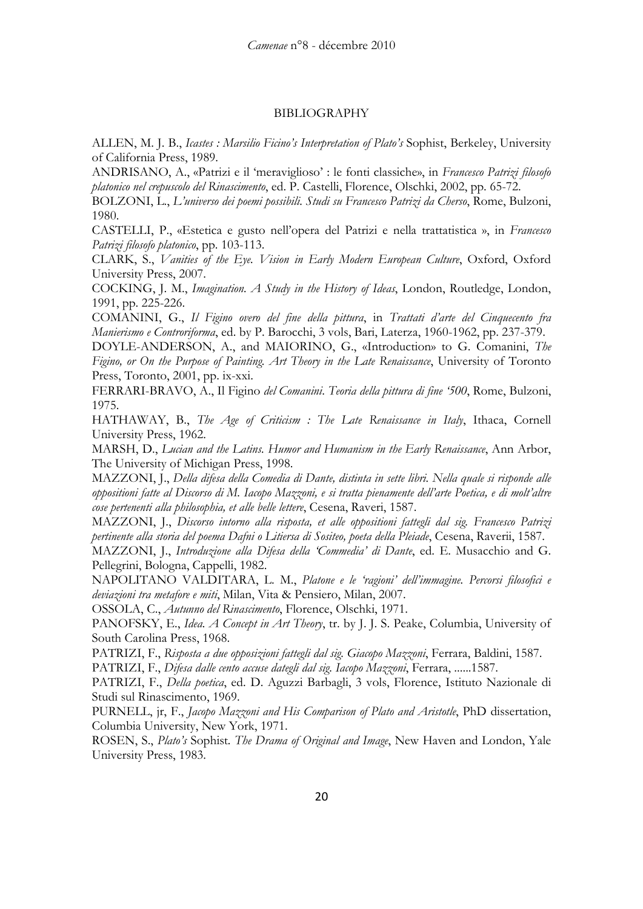## BIBLIOGRAPHY

ALLEN, M. J. B., *Icastes : Marsilio Ficino's Interpretation of Plato's* Sophist, Berkeley, University of California Press, 1989.

ANDRISANO, A., «Patrizi e il 'meraviglioso' : le fonti classiche», in *Francesco Patrizi filosofo platonico nel crepuscolo del Rinascimento*, ed. P. Castelli, Florence, Olschki, 2002, pp. 65-72.

BOLZONI, L., *L'universo dei poemi possibili. Studi su Francesco Patrizi da Cherso*, Rome, Bulzoni, 1980.

CASTELLI, P., «Estetica e gusto nell'opera del Patrizi e nella trattatistica », in *Francesco Patrizi filosofo platonico*, pp. 103-113.

CLARK, S., *Vanities of the Eye. Vision in Early Modern European Culture*, Oxford, Oxford University Press, 2007.

COCKING, J. M., *Imagination. A Study in the History of Ideas*, London, Routledge, London, 1991, pp. 225-226.

COMANINI, G., *Il Figino overo del fine della pittura*, in *Trattati d'arte del Cinquecento fra Manierismo e Controriforma*, ed. by P. Barocchi, 3 vols, Bari, Laterza, 1960-1962, pp. 237-379.

DOYLE-ANDERSON, A., and MAIORINO, G., «Introduction» to G. Comanini, *The Figino, or On the Purpose of Painting. Art Theory in the Late Renaissance*, University of Toronto Press, Toronto, 2001, pp. ix-xxi.

FERRARI-BRAVO, A., Il Figino *del Comanini*. *Teoria della pittura di fine '500*, Rome, Bulzoni, 1975.

HATHAWAY, B., *The Age of Criticism : The Late Renaissance in Italy*, Ithaca, Cornell University Press, 1962.

MARSH, D., *Lucian and the Latins. Humor and Humanism in the Early Renaissance*, Ann Arbor, The University of Michigan Press, 1998.

MAZZONI, J., *Della difesa della Comedia di Dante, distinta in sette libri. Nella quale si risponde alle oppositioni fatte al Discorso di M. Iacopo Mazzoni, e si tratta pienamente dell'arte Poetica, e di molt'altre cose pertenenti alla philosophia, et alle belle lettere*, Cesena, Raveri, 1587.

MAZZONI, J., *Discorso intorno alla risposta, et alle oppositioni fattegli dal sig. Francesco Patrizi pertinente alla storia del poema Dafni o Litiersa di Sositeo, poeta della Pleiade*, Cesena, Raverii, 1587.

MAZZONI, J., *Introduzione alla Difesa della 'Commedia' di Dante*, ed. E. Musacchio and G. Pellegrini, Bologna, Cappelli, 1982.

NAPOLITANO VALDITARA, L. M., *Platone e le 'ragioni' dell'immagine. Percorsi filosofici e deviazioni tra metafore e miti*, Milan, Vita & Pensiero, Milan, 2007.

OSSOLA, C., *Autunno del Rinascimento*, Florence, Olschki, 1971.

PANOFSKY, E., *Idea. A Concept in Art Theory*, tr. by J. J. S. Peake, Columbia, University of South Carolina Press, 1968.

PATRIZI, F., *Risposta a due opposizioni fattegli dal sig. Giacopo Mazzoni*, Ferrara, Baldini, 1587.

PATRIZI, F., *Difesa dalle cento accuse dategli dal sig. Iacopo Mazzoni*, Ferrara, ......1587.

PATRIZI, F., *Della poetica*, ed. D. Aguzzi Barbagli, 3 vols, Florence, Istituto Nazionale di Studi sul Rinascimento, 1969.

PURNELL, jr, F., *Jacopo Mazzoni and His Comparison of Plato and Aristotle*, PhD dissertation, Columbia University, New York, 1971.

ROSEN, S., *Plato's* Sophist*. The Drama of Original and Image*, New Haven and London, Yale University Press, 1983.